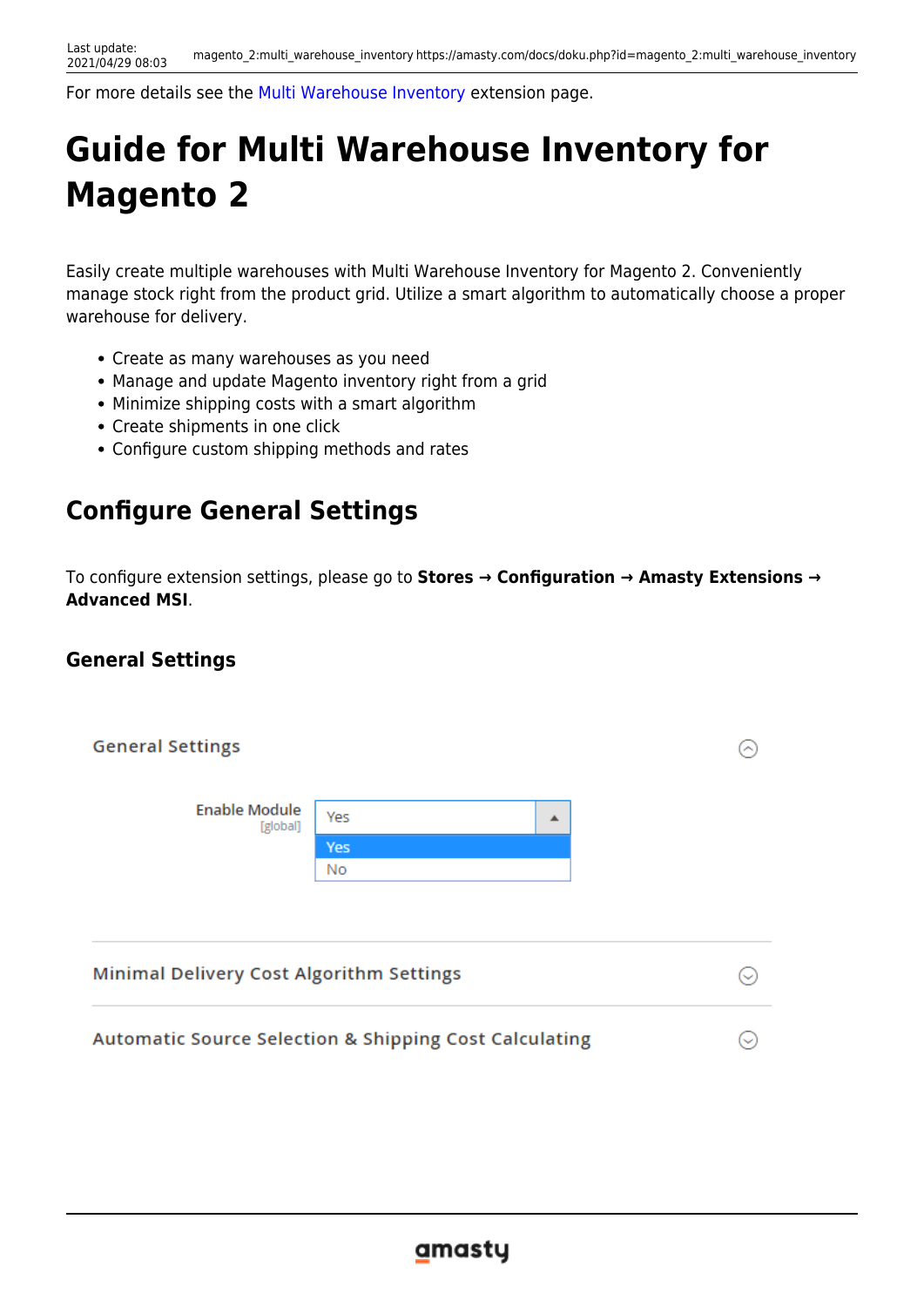For more details see the [Multi Warehouse Inventory](https://amasty.com/multi-warehouse-inventory-for-magento-2.html) extension page.

# **Guide for Multi Warehouse Inventory for Magento 2**

Easily create multiple warehouses with Multi Warehouse Inventory for Magento 2. Conveniently manage stock right from the product grid. Utilize a smart algorithm to automatically choose a proper warehouse for delivery.

- Create as many warehouses as you need
- Manage and update Magento inventory right from a grid
- Minimize shipping costs with a smart algorithm
- Create shipments in one click
- Configure custom shipping methods and rates

# **Configure General Settings**

To configure extension settings, please go to **Stores → Configuration → Amasty Extensions → Advanced MSI**.

### **General Settings**

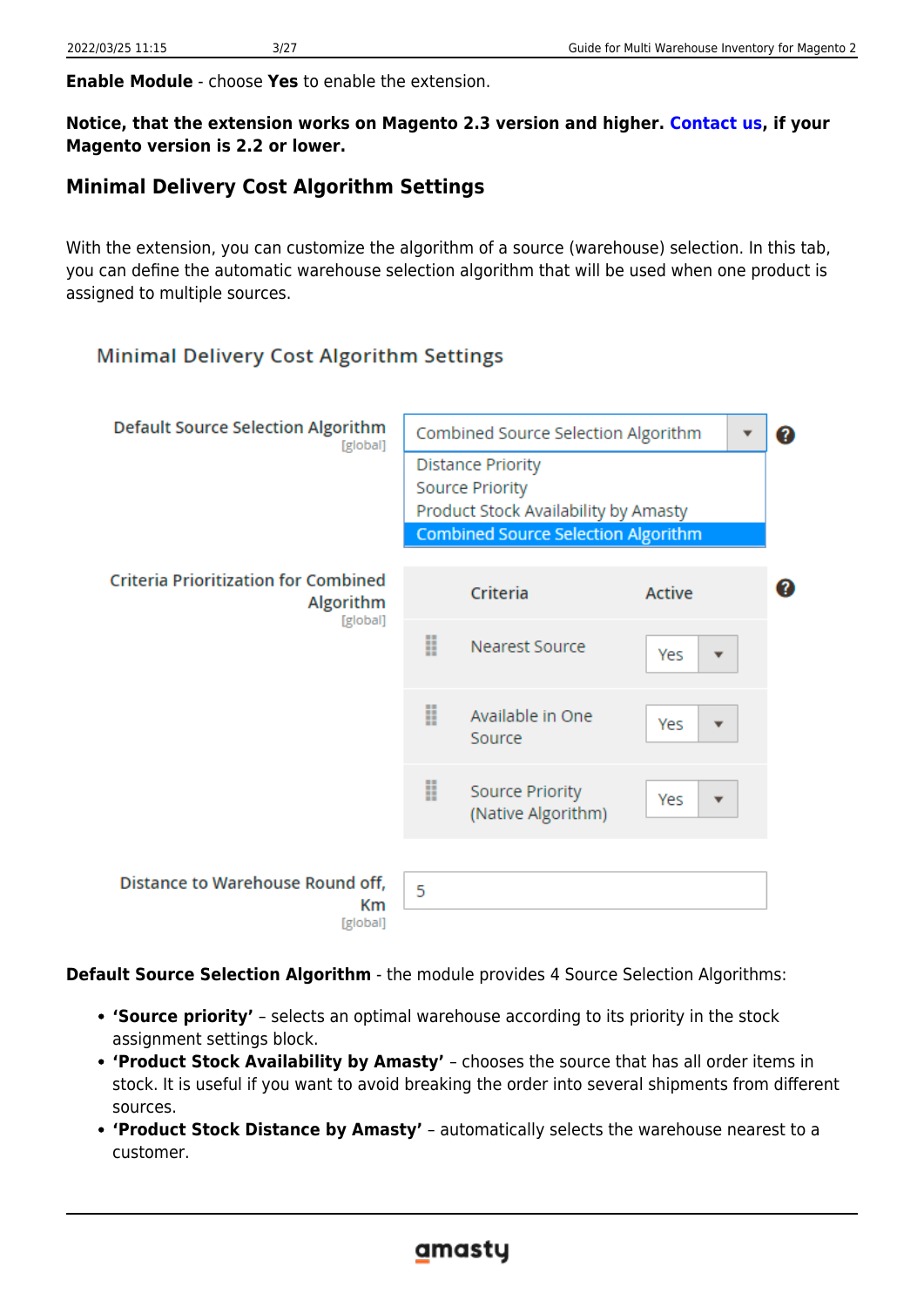**Enable Module** - choose **Yes** to enable the extension.

**Notice, that the extension works on Magento 2.3 version and higher. [Contact us](https://amasty.com/contacts/), if your Magento version is 2.2 or lower.**

### **Minimal Delivery Cost Algorithm Settings**

With the extension, you can customize the algorithm of a source (warehouse) selection. In this tab, you can define the automatic warehouse selection algorithm that will be used when one product is assigned to multiple sources.

### **Minimal Delivery Cost Algorithm Settings**



**Default Source Selection Algorithm** - the module provides 4 Source Selection Algorithms:

- **'Source priority'** selects an optimal warehouse according to its priority in the stock assignment settings block.
- **'Product Stock Availability by Amasty'** chooses the source that has all order items in stock. It is useful if you want to avoid breaking the order into several shipments from different sources.
- **'Product Stock Distance by Amasty'** automatically selects the warehouse nearest to a customer.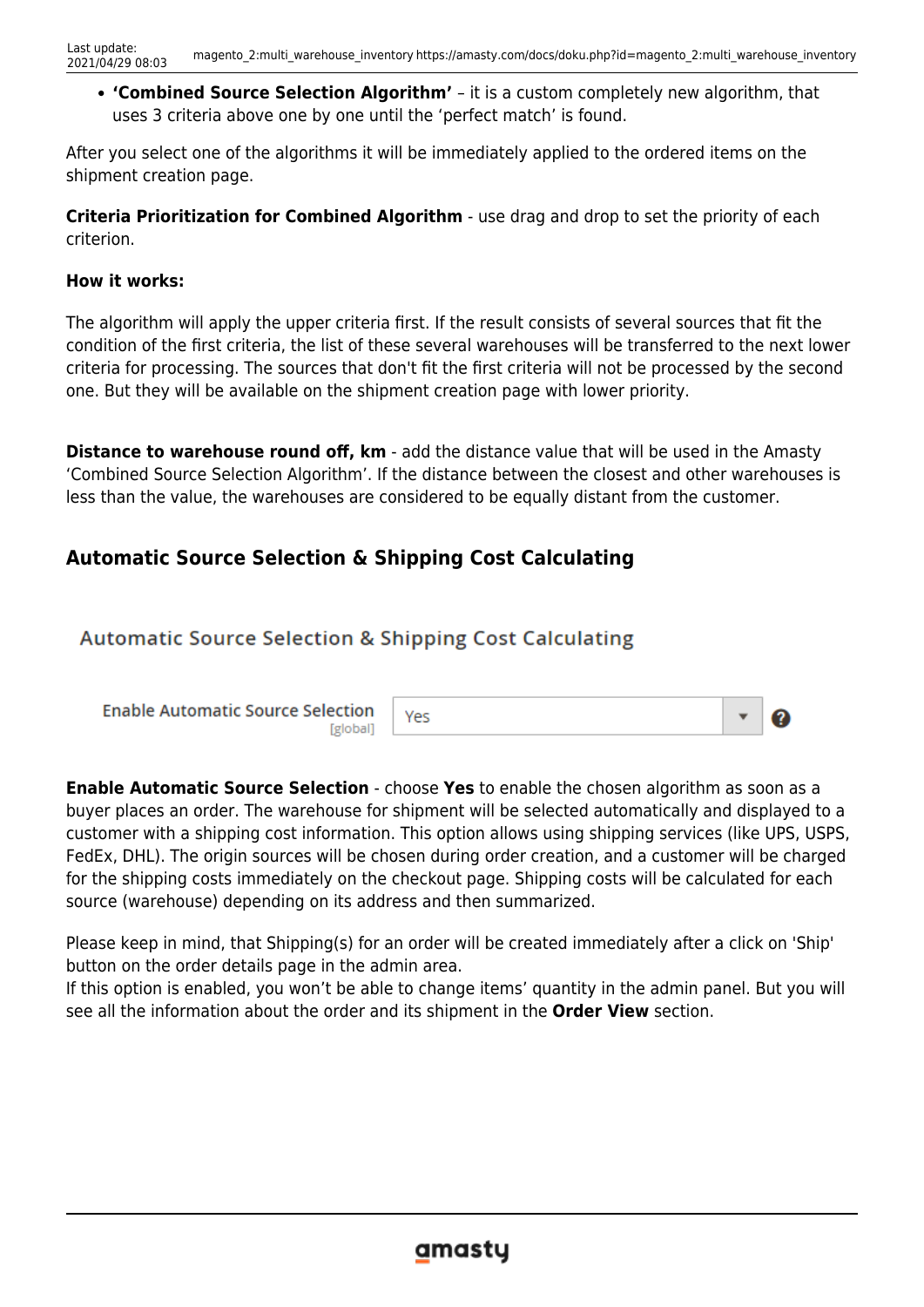**'Combined Source Selection Algorithm'** – it is a custom completely new algorithm, that uses 3 criteria above one by one until the 'perfect match' is found.

After you select one of the algorithms it will be immediately applied to the ordered items on the shipment creation page.

**Criteria Prioritization for Combined Algorithm** - use drag and drop to set the priority of each criterion.

### **How it works:**

The algorithm will apply the upper criteria first. If the result consists of several sources that fit the condition of the first criteria, the list of these several warehouses will be transferred to the next lower criteria for processing. The sources that don't fit the first criteria will not be processed by the second one. But they will be available on the shipment creation page with lower priority.

**Distance to warehouse round off, km** - add the distance value that will be used in the Amasty 'Combined Source Selection Algorithm'. If the distance between the closest and other warehouses is less than the value, the warehouses are considered to be equally distant from the customer.

### **Automatic Source Selection & Shipping Cost Calculating**

### **Automatic Source Selection & Shipping Cost Calculating**

**Enable Automatic Source Selection** [global]

|  | Yes | $\mathbf{r} \mid \mathbf{Q}$ |  |
|--|-----|------------------------------|--|
|--|-----|------------------------------|--|

**Enable Automatic Source Selection** - choose **Yes** to enable the chosen algorithm as soon as a buyer places an order. The warehouse for shipment will be selected automatically and displayed to a customer with a shipping cost information. This option allows using shipping services (like UPS, USPS, FedEx, DHL). The origin sources will be chosen during order creation, and a customer will be charged for the shipping costs immediately on the checkout page. Shipping costs will be calculated for each source (warehouse) depending on its address and then summarized.

Please keep in mind, that Shipping(s) for an order will be created immediately after a click on 'Ship' button on the order details page in the admin area.

If this option is enabled, you won't be able to change items' quantity in the admin panel. But you will see all the information about the order and its shipment in the **Order View** section.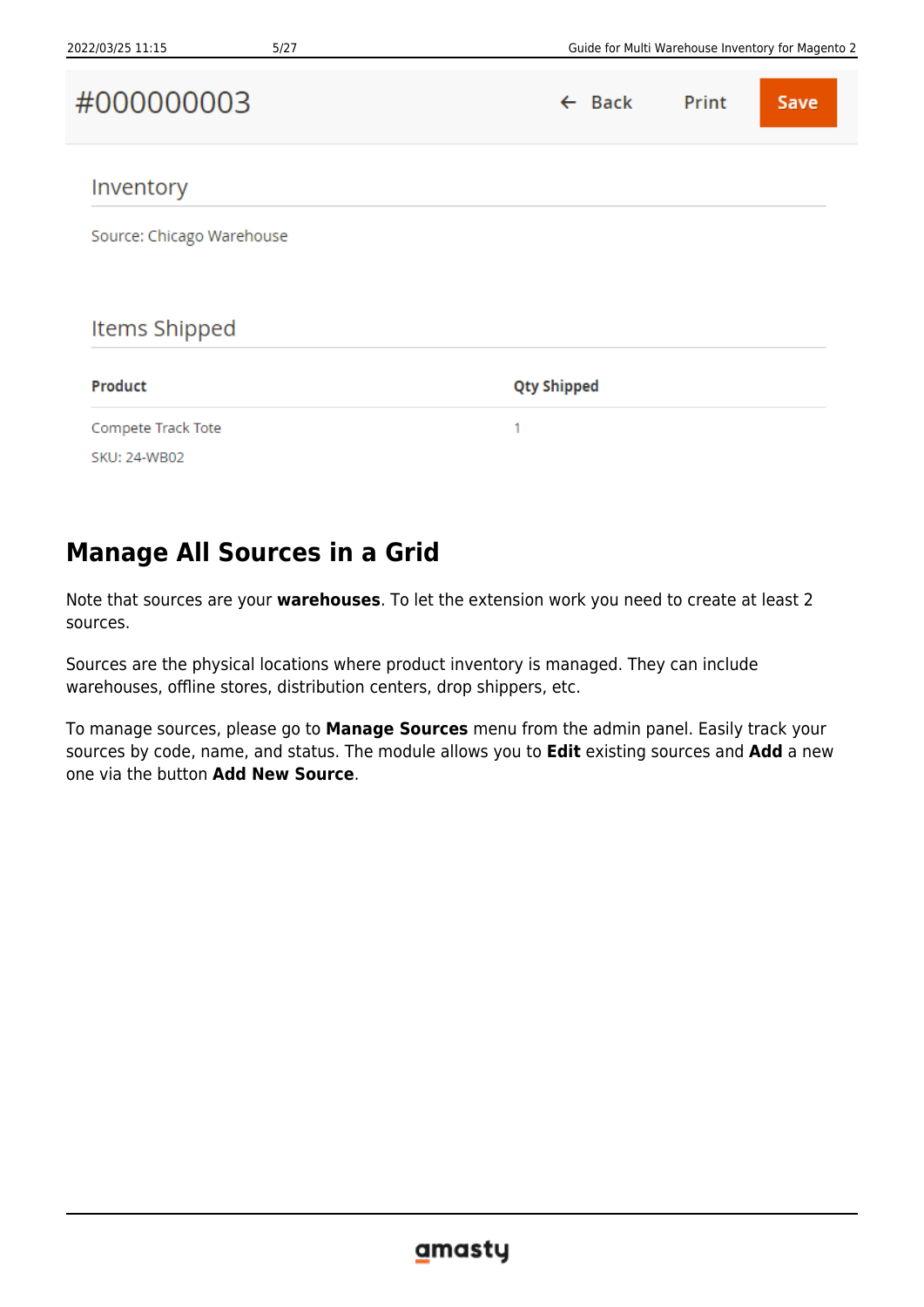| 2022/03/25 11:15<br>5/27  |                    | Guide for Multi Warehouse Inventory for Magento 2 |  |
|---------------------------|--------------------|---------------------------------------------------|--|
| #000000003                | $\leftarrow$ Back  | Print<br>Save                                     |  |
| Inventory                 |                    |                                                   |  |
| Source: Chicago Warehouse |                    |                                                   |  |
| Items Shipped             |                    |                                                   |  |
| <b>Product</b>            | <b>Qty Shipped</b> |                                                   |  |
| Compete Track Tote        | 1                  |                                                   |  |
| <b>SKU: 24-WB02</b>       |                    |                                                   |  |

# **Manage All Sources in a Grid**

Note that sources are your **warehouses**. To let the extension work you need to create at least 2 sources.

Sources are the physical locations where product inventory is managed. They can include warehouses, offline stores, distribution centers, drop shippers, etc.

To manage sources, please go to **Manage Sources** menu from the admin panel. Easily track your sources by code, name, and status. The module allows you to **Edit** existing sources and **Add** a new one via the button **Add New Source**.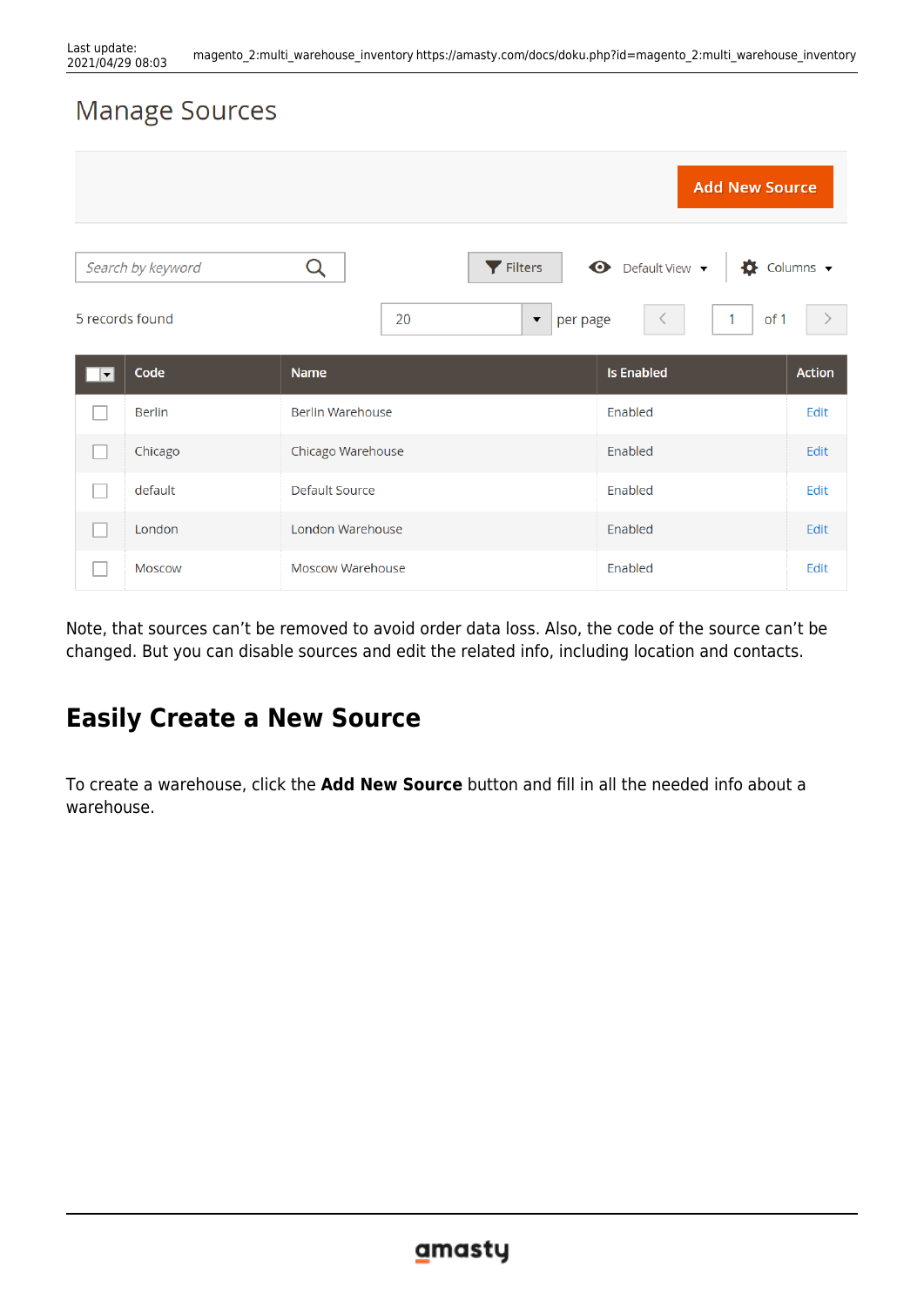# **Manage Sources**

|                      |                   |                                                   | <b>Add New Source</b>                                   |                                           |
|----------------------|-------------------|---------------------------------------------------|---------------------------------------------------------|-------------------------------------------|
| 5 records found      | Search by keyword | Filters<br>20<br>per page<br>$\blacktriangledown$ | $\bullet$ Default View $\bullet$<br>ō<br>of 1<br>1<br>≦ | Columns v<br>$\left\langle \right\rangle$ |
| $\blacktriangledown$ | Code              | <b>Name</b>                                       | <b>Is Enabled</b>                                       | <b>Action</b>                             |
|                      | <b>Berlin</b>     | <b>Berlin Warehouse</b>                           | Enabled                                                 | Edit                                      |
|                      | Chicago           | Chicago Warehouse                                 | Enabled                                                 | Edit                                      |
|                      | default           | Default Source                                    | Enabled                                                 | Edit                                      |
|                      | London            | <b>London Warehouse</b>                           | Enabled                                                 | Edit                                      |
|                      | <b>Moscow</b>     | <b>Moscow Warehouse</b>                           | Enabled                                                 | Edit                                      |

Note, that sources can't be removed to avoid order data loss. Also, the code of the source can't be changed. But you can disable sources and edit the related info, including location and contacts.

# **Easily Create a New Source**

To create a warehouse, click the **Add New Source** button and fill in all the needed info about a warehouse.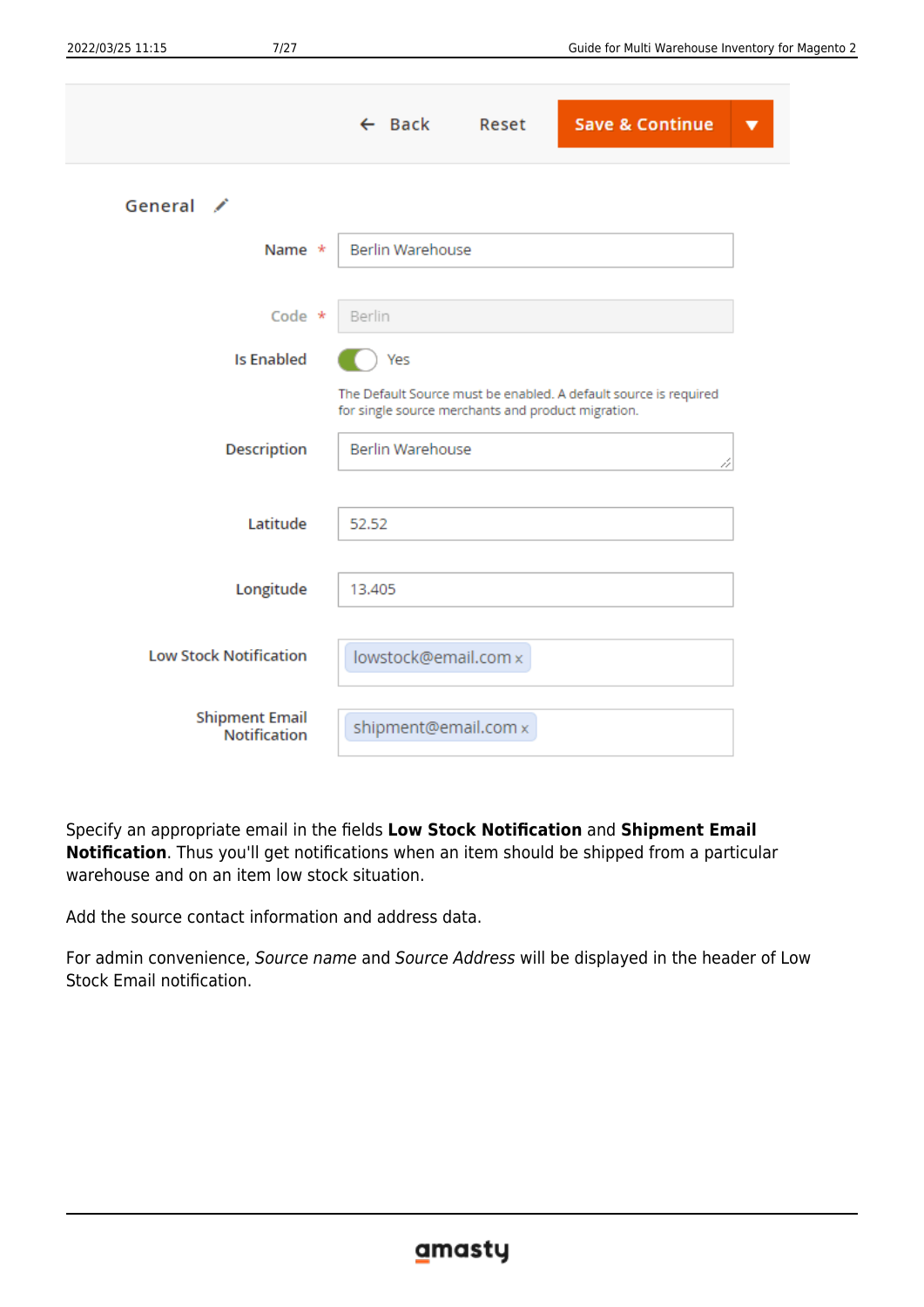|                                              | $\leftarrow$ Back<br><b>Save &amp; Continue</b><br>Reset<br>▼                                                                                          |
|----------------------------------------------|--------------------------------------------------------------------------------------------------------------------------------------------------------|
| General /                                    |                                                                                                                                                        |
| Name *                                       | Berlin Warehouse                                                                                                                                       |
| Code *                                       | Berlin                                                                                                                                                 |
| <b>Is Enabled</b>                            | Yes                                                                                                                                                    |
| Description                                  | The Default Source must be enabled. A default source is required<br>for single source merchants and product migration.<br><b>Berlin Warehouse</b><br>ń |
| Latitude                                     | 52.52                                                                                                                                                  |
| Longitude                                    | 13,405                                                                                                                                                 |
| <b>Low Stock Notification</b>                | lowstock@email.com x                                                                                                                                   |
| <b>Shipment Email</b><br><b>Notification</b> | shipment@email.com x                                                                                                                                   |

Specify an appropriate email in the fields **Low Stock Notification** and **Shipment Email Notification**. Thus you'll get notifications when an item should be shipped from a particular warehouse and on an item low stock situation.

Add the source contact information and address data.

For admin convenience, Source name and Source Address will be displayed in the header of Low Stock Email notification.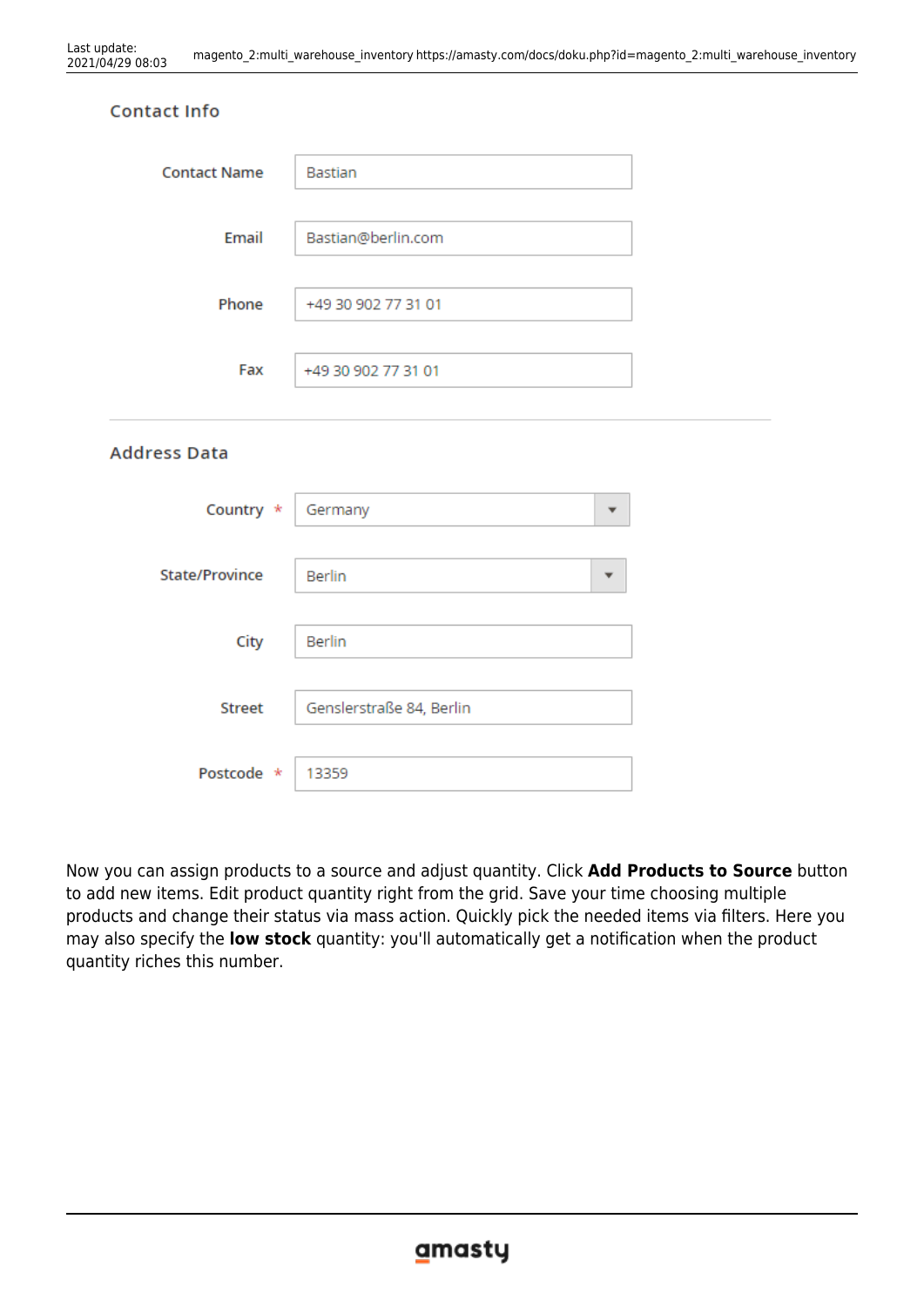| <b>Contact Info</b>   |                                    |  |
|-----------------------|------------------------------------|--|
| <b>Contact Name</b>   | Bastian                            |  |
| Email                 | Bastian@berlin.com                 |  |
| Phone                 | +49 30 902 77 31 01                |  |
| Fax                   | +49 30 902 77 31 01                |  |
| <b>Address Data</b>   |                                    |  |
| Country *             | Germany<br>$\overline{\mathbf{v}}$ |  |
| <b>State/Province</b> | <b>Berlin</b><br>▼                 |  |
| City                  | Berlin                             |  |
| Street                | Genslerstraße 84, Berlin           |  |
| Postcode *            | 13359                              |  |

Now you can assign products to a source and adjust quantity. Click **Add Products to Source** button to add new items. Edit product quantity right from the grid. Save your time choosing multiple products and change their status via mass action. Quickly pick the needed items via filters. Here you may also specify the **low stock** quantity: you'll automatically get a notification when the product quantity riches this number.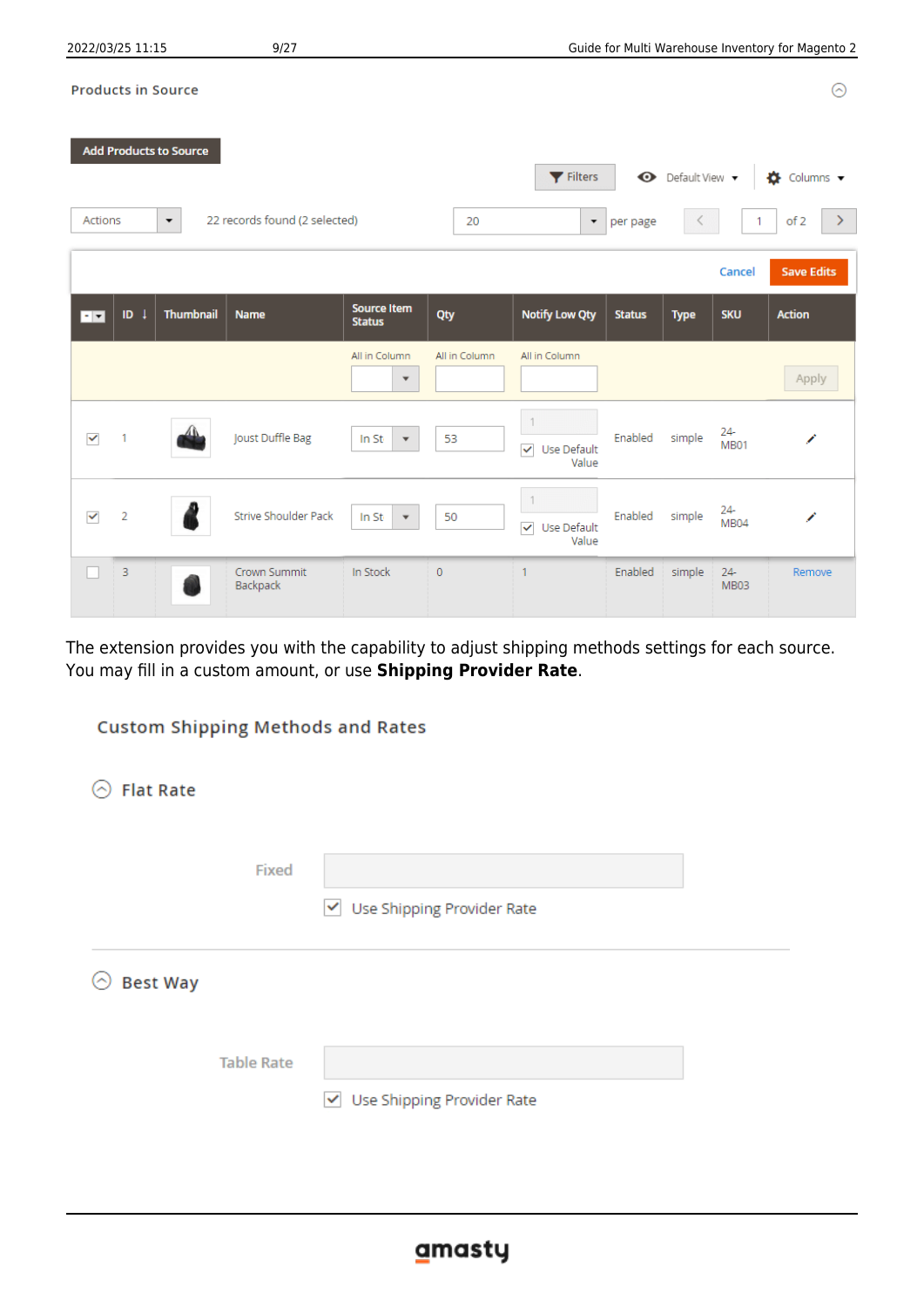| 2022/03/25 11:15                                                        | 9/27                          |                                          |               |                                                        |               |                             |                       | Guide for Multi Warehouse Inventory for Magento 2 |
|-------------------------------------------------------------------------|-------------------------------|------------------------------------------|---------------|--------------------------------------------------------|---------------|-----------------------------|-----------------------|---------------------------------------------------|
| <b>Products in Source</b>                                               |                               |                                          |               |                                                        |               |                             |                       | ⊚                                                 |
| <b>Add Products to Source</b><br><b>Actions</b><br>$\blacktriangledown$ | 22 records found (2 selected) |                                          | 20            | $\blacktriangleright$ Filters<br>$\blacktriangledown$  | per page      | ← Default View<br>$\langle$ | 1                     | ☆ Columns ▼<br>of 2<br>$\rightarrow$              |
|                                                                         |                               |                                          |               |                                                        |               |                             | Cancel                | <b>Save Edits</b>                                 |
| $ID \downarrow$<br><b>Thumbnail</b><br><b>FIX</b>                       | <b>Name</b>                   | <b>Source Item</b><br><b>Status</b>      | Qty           | <b>Notify Low Qty</b>                                  | <b>Status</b> | <b>Type</b>                 | <b>SKU</b>            | <b>Action</b>                                     |
|                                                                         |                               | All in Column<br>$\overline{\mathbf{v}}$ | All in Column | All in Column                                          |               |                             |                       | Apply                                             |
| ΔЬ<br>$\checkmark$<br>1                                                 | Joust Duffle Bag              | In St<br>$\overline{\mathbf{v}}$         | 53            | $\overline{1}$<br>Use Default<br>$\checkmark$<br>Value | Enabled       | simple                      | $24 -$<br><b>MB01</b> | ∕                                                 |
| $\checkmark$<br>$\overline{2}$                                          | Strive Shoulder Pack          | In St<br>$\overline{\mathbf{v}}$         | 50            | $\mathbf{1}$<br>Use Default<br>$\checkmark$<br>Value   | Enabled       | simple                      | $24 -$<br><b>MB04</b> | ∕                                                 |
| 3                                                                       | Crown Summit<br>Backpack      | In Stock                                 | $\mathbf 0$   | 1                                                      | Enabled       | simple                      | $24 -$<br><b>MB03</b> | Remove                                            |

The extension provides you with the capability to adjust shipping methods settings for each source. You may fill in a custom amount, or use **Shipping Provider Rate**.

| <b>Custom Shipping Methods and Rates</b> |                   |                                            |  |  |  |  |  |
|------------------------------------------|-------------------|--------------------------------------------|--|--|--|--|--|
| <b>Flat Rate</b><br>∼                    |                   |                                            |  |  |  |  |  |
|                                          | Fixed             | Use Shipping Provider Rate<br>✔            |  |  |  |  |  |
| <b>Best Way</b>                          | <b>Table Rate</b> | Use Shipping Provider Rate<br>$\checkmark$ |  |  |  |  |  |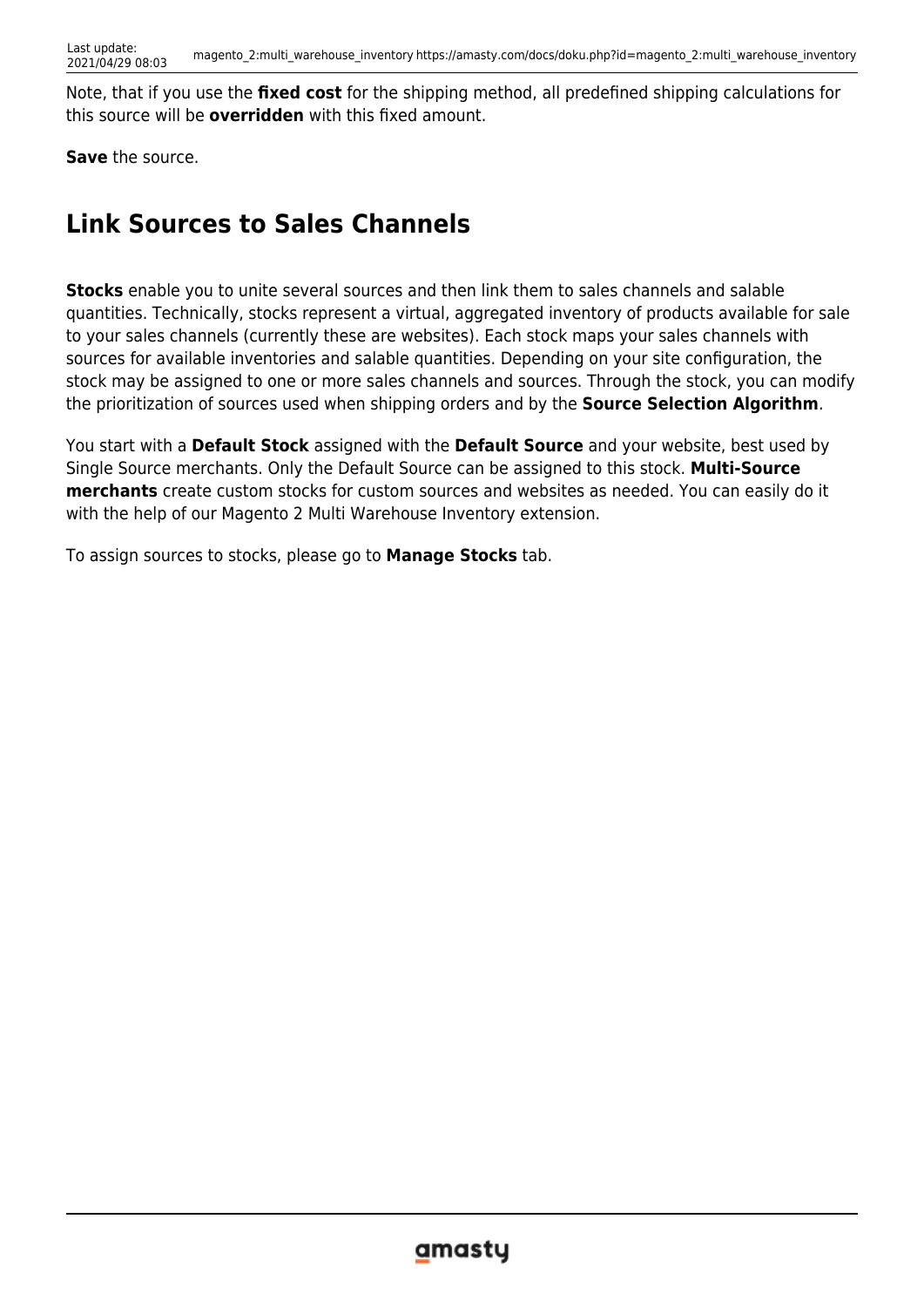Note, that if you use the **fixed cost** for the shipping method, all predefined shipping calculations for this source will be **overridden** with this fixed amount.

**Save** the source.

# **Link Sources to Sales Channels**

**Stocks** enable you to unite several sources and then link them to sales channels and salable quantities. Technically, stocks represent a virtual, aggregated inventory of products available for sale to your sales channels (currently these are websites). Each stock maps your sales channels with sources for available inventories and salable quantities. Depending on your site configuration, the stock may be assigned to one or more sales channels and sources. Through the stock, you can modify the prioritization of sources used when shipping orders and by the **Source Selection Algorithm**.

You start with a **Default Stock** assigned with the **Default Source** and your website, best used by Single Source merchants. Only the Default Source can be assigned to this stock. **Multi-Source merchants** create custom stocks for custom sources and websites as needed. You can easily do it with the help of our Magento 2 Multi Warehouse Inventory extension.

To assign sources to stocks, please go to **Manage Stocks** tab.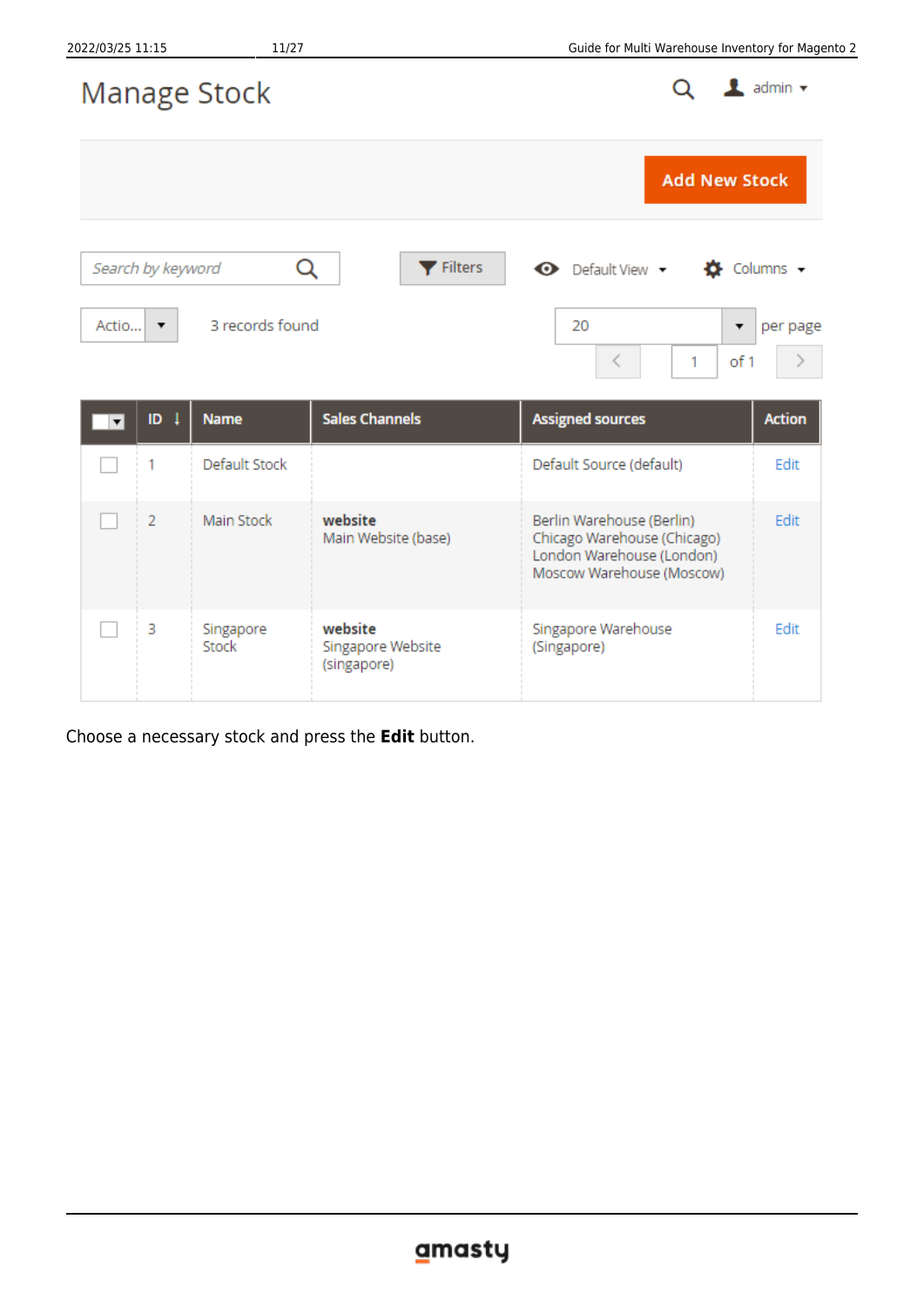|                      |                   | <b>Manage Stock</b> |                                |                                                                                                                    | $\mathbf 1$ admin $\mathbf$ |
|----------------------|-------------------|---------------------|--------------------------------|--------------------------------------------------------------------------------------------------------------------|-----------------------------|
|                      |                   |                     |                                | <b>Add New Stock</b>                                                                                               |                             |
|                      | Search by keyword | Q                   | Filters                        | $\bullet$ Default View $\star$                                                                                     | $\bullet$ Columns $\bullet$ |
| Actio                | ▼                 | 3 records found     |                                | 20<br>▼<br>of 1<br>1<br>≤                                                                                          | per page                    |
| $\blacktriangledown$ | $ID \downarrow$   | <b>Name</b>         | <b>Sales Channels</b>          | <b>Assigned sources</b>                                                                                            | <b>Action</b>               |
|                      | 1                 | Default Stock       |                                | Default Source (default)                                                                                           | Edit                        |
|                      |                   |                     |                                |                                                                                                                    |                             |
|                      | $\overline{2}$    | Main Stock          | website<br>Main Website (base) | Berlin Warehouse (Berlin)<br>Chicago Warehouse (Chicago)<br>London Warehouse (London)<br>Moscow Warehouse (Moscow) | <b>Fdit</b>                 |

Choose a necessary stock and press the **Edit** button.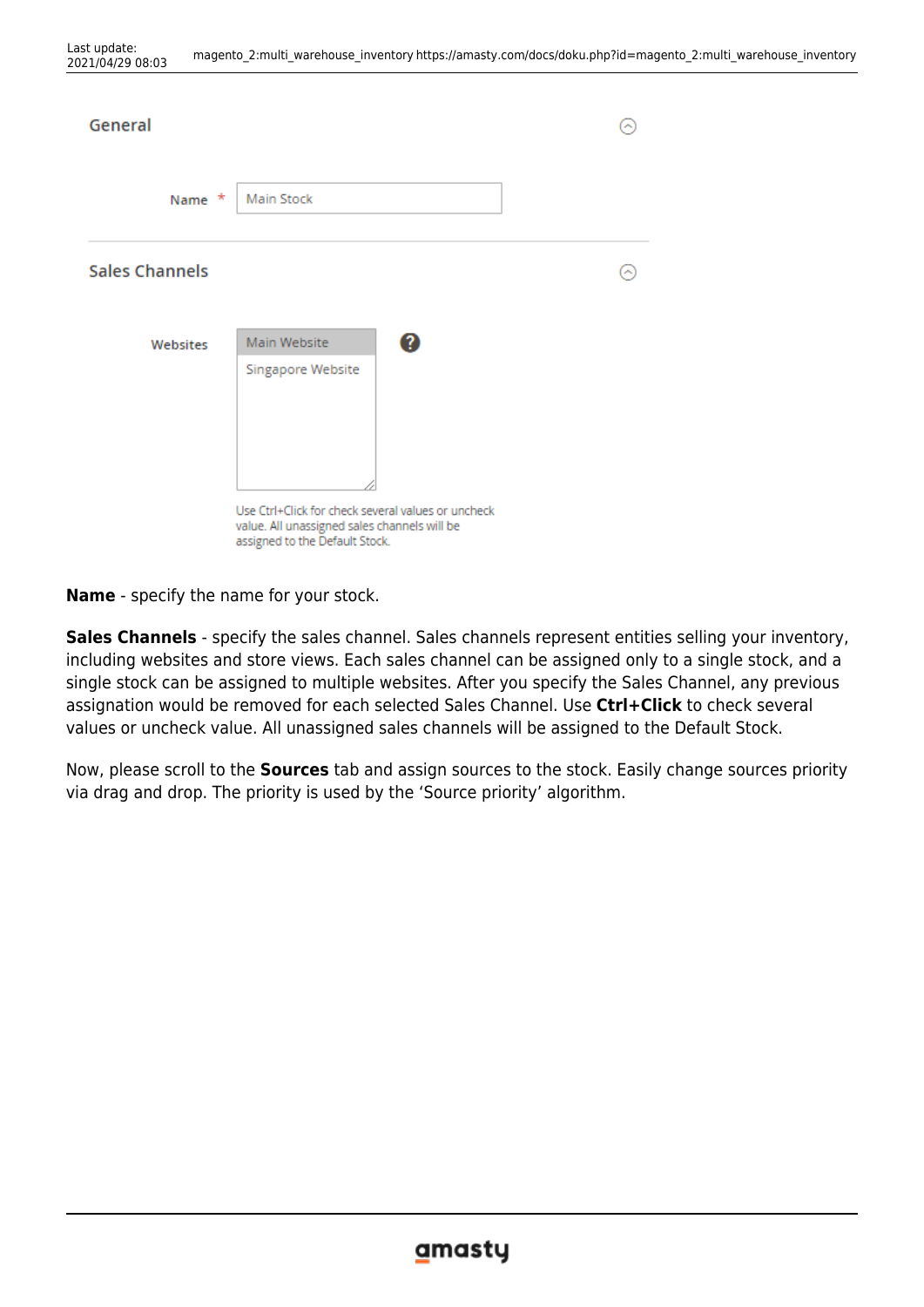| General               |                                                                                              |  |
|-----------------------|----------------------------------------------------------------------------------------------|--|
| Name $*$              | Main Stock                                                                                   |  |
| <b>Sales Channels</b> |                                                                                              |  |
| Websites              | Ø<br>Main Website<br>Singapore Website<br>Use Ctrl+Click for check several values or uncheck |  |
|                       | value. All unassigned sales channels will be<br>assigned to the Default Stock.               |  |

**Name** - specify the name for your stock.

**Sales Channels** - specify the sales channel. Sales channels represent entities selling your inventory, including websites and store views. Each sales channel can be assigned only to a single stock, and a single stock can be assigned to multiple websites. After you specify the Sales Channel, any previous assignation would be removed for each selected Sales Channel. Use **Ctrl+Click** to check several values or uncheck value. All unassigned sales channels will be assigned to the Default Stock.

Now, please scroll to the **Sources** tab and assign sources to the stock. Easily change sources priority via drag and drop. The priority is used by the 'Source priority' algorithm.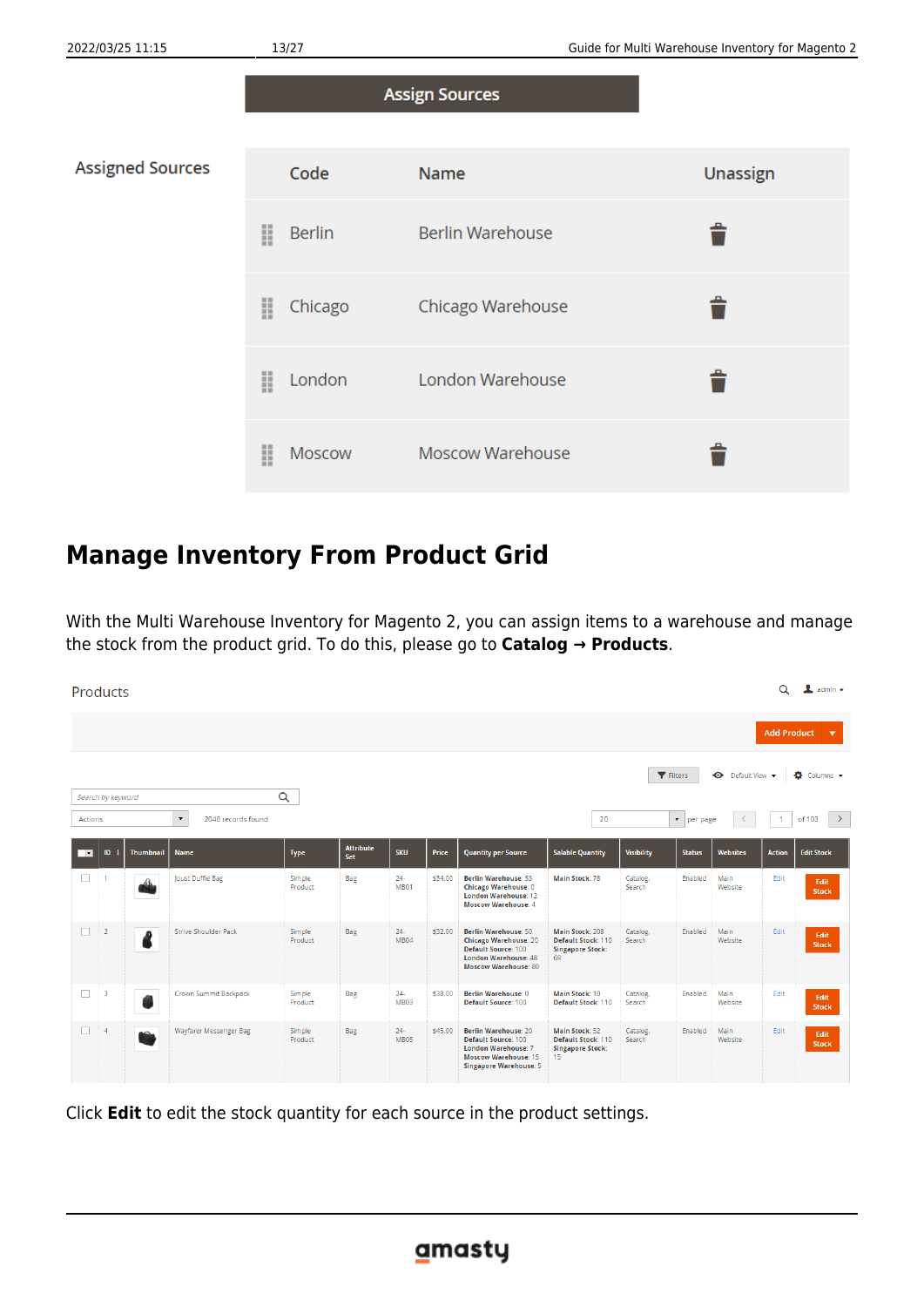| 2022/03/25 11:15        | 13/27              |                         | Guide for Multi Warehouse Inventory for Magento 2 |
|-------------------------|--------------------|-------------------------|---------------------------------------------------|
|                         |                    | <b>Assign Sources</b>   |                                                   |
| <b>Assigned Sources</b> | Code               | Name                    | Unassign                                          |
|                         | H<br><b>Berlin</b> | <b>Berlin Warehouse</b> | ÷                                                 |
|                         | H<br>Chicago       | Chicago Warehouse       |                                                   |
|                         | H<br>London        | London Warehouse        |                                                   |
|                         | H<br><b>Moscow</b> | Moscow Warehouse        |                                                   |

# **Manage Inventory From Product Grid**

With the Multi Warehouse Inventory for Magento 2, you can assign items to a warehouse and manage the stock from the product grid. To do this, please go to **Catalog → Products**.

|                          | Products          |                  |                                            |                   |                         |                           |         |                                                                                                                                                         |                                                                        |                    |                    |                                            | Q                  | admin $\star$               |
|--------------------------|-------------------|------------------|--------------------------------------------|-------------------|-------------------------|---------------------------|---------|---------------------------------------------------------------------------------------------------------------------------------------------------------|------------------------------------------------------------------------|--------------------|--------------------|--------------------------------------------|--------------------|-----------------------------|
|                          |                   |                  |                                            |                   |                         |                           |         |                                                                                                                                                         |                                                                        |                    |                    |                                            | <b>Add Product</b> | $\blacktriangledown$        |
|                          |                   |                  |                                            |                   |                         |                           |         |                                                                                                                                                         |                                                                        | Filters            |                    | <b>O</b> Default View $\blacktriangledown$ |                    | $\bullet$ Columns $\bullet$ |
| Actions                  | Search by keyword |                  | $\blacktriangledown$<br>2046 records found | Q                 |                         |                           |         |                                                                                                                                                         | 20                                                                     |                    | $\bullet$ per page | $\langle$                                  | $\mathbf{1}$       | $\rightarrow$<br>of 103     |
| $\overline{\phantom{a}}$ | ID                | <b>Thumbnail</b> | Name                                       | <b>Type</b>       | <b>Attribute</b><br>Set | <b>SKU</b>                | Price   | <b>Quantity per Source</b>                                                                                                                              | <b>Salable Quantity</b>                                                | <b>Visibility</b>  | <b>Status</b>      | <b>Websites</b>                            | <b>Action</b>      | <b>Edit Stock</b>           |
| $\Box$                   |                   |                  | Joust Duffle Bag                           | Simple<br>Product | Bag                     | $24-$<br><b>MB01</b>      | \$34.00 | <b>Berlin Warehouse: 53</b><br><b>Chicago Warehouse: 0</b><br><b>London Warehouse: 12</b><br><b>Moscow Warehouse: 4</b>                                 | <b>Main Stock: 78</b>                                                  | Catalog,<br>Search | Enabled            | Main<br>Website                            | Edit               | Edit<br><b>Stock</b>        |
| □                        | $\overline{2}$    |                  | <b>Strive Shoulder Pack</b>                | Simple<br>Product | Bag                     | $24-$<br>MB <sub>04</sub> | \$32.00 | <b>Berlin Warehouse: 50</b><br><b>Chicago Warehouse: 20</b><br><b>Default Source: 100</b><br><b>London Warehouse: 48</b><br><b>Moscow Warehouse: 80</b> | Main Stock: 208<br>Default Stock: 110<br><b>Singapore Stock:</b><br>69 | Catalog,<br>Search | Enabled            | Main<br>Website                            | Edit               | Edit<br><b>Stock</b>        |
| $\Box$                   | 3                 |                  | <b>Crown Summit Backpack</b>               | Simple<br>Product | Bag                     | $24-$<br>MB03             | \$38.00 | <b>Berlin Warehouse: 0</b><br><b>Default Source: 100</b>                                                                                                | Main Stock: 10<br>Default Stock: 110                                   | Catalog,<br>Search | Enabled            | Main<br>Website                            | Edit               | Edit<br><b>Stock</b>        |
| $\Box$                   | $\overline{4}$    |                  | Wayfarer Messenger Bag                     | Simple<br>Product | Bag                     | $24-$<br><b>MB05</b>      | \$45.00 | <b>Berlin Warehouse: 20</b><br><b>Default Source: 100</b><br><b>London Warehouse: 7</b><br><b>Moscow Warehouse: 15</b><br><b>Singapore Warehouse: 5</b> | Main Stock: 52<br>Default Stock: 110<br><b>Singapore Stock:</b><br>15  | Catalog,<br>Search | Enabled            | Main<br>Website                            | Edit               | Edit<br><b>Stock</b>        |

Click **Edit** to edit the stock quantity for each source in the product settings.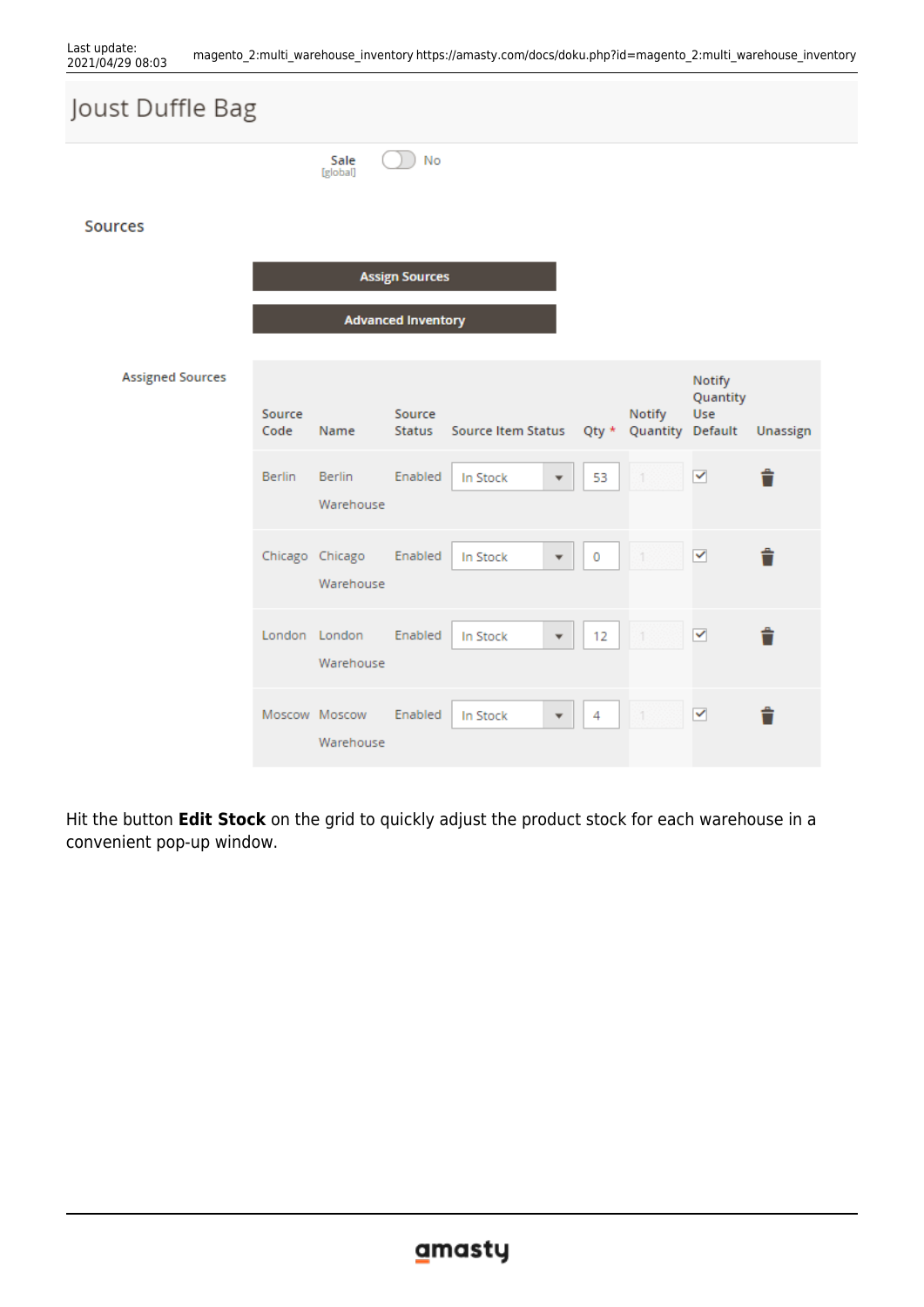| Joust Duffle Bag        |                |                                      |                           |                                      |    |        |                                               |          |
|-------------------------|----------------|--------------------------------------|---------------------------|--------------------------------------|----|--------|-----------------------------------------------|----------|
|                         |                | Sale<br>[global]                     | No                        |                                      |    |        |                                               |          |
| Sources                 |                |                                      |                           |                                      |    |        |                                               |          |
|                         |                |                                      | <b>Assign Sources</b>     |                                      |    |        |                                               |          |
|                         |                |                                      | <b>Advanced Inventory</b> |                                      |    |        |                                               |          |
| <b>Assigned Sources</b> | Source<br>Code | Name                                 | Source<br>Status          | Source Item Status Qty *             |    | Notify | Notify<br>Quantity<br>Use<br>Quantity Default | Unassign |
|                         | <b>Berlin</b>  | <b>Berlin</b><br>Warehouse           | Enabled                   | In Stock<br>$\overline{\phantom{a}}$ | 53 |        | ⊻                                             | t        |
|                         |                | Chicago Chicago Enabled<br>Warehouse |                           | In Stock<br>$\overline{\mathbf{v}}$  | 0  |        | ⊻                                             | Ê        |
|                         |                | London London<br>Warehouse           | Enabled                   | In Stock<br>$\overline{\mathbf{v}}$  | 12 | đ.     | ⊻                                             | t        |
|                         |                | Moscow Moscow<br>Warehouse           | Enabled                   | In Stock<br>▼                        | 4  |        | ⊻                                             | t        |

Hit the button **Edit Stock** on the grid to quickly adjust the product stock for each warehouse in a convenient pop-up window.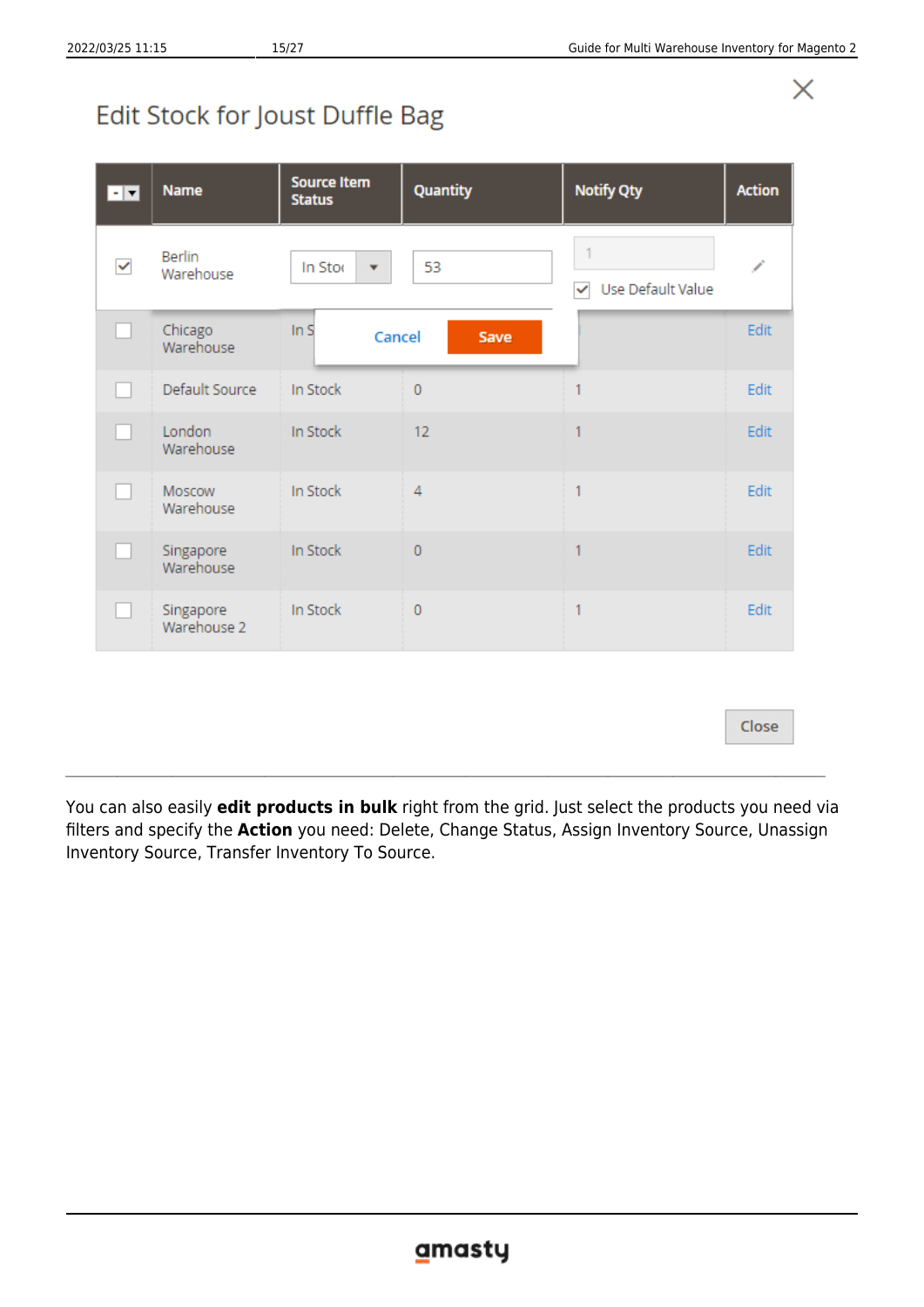$\times$ 

# Edit Stock for Joust Duffle Bag

| $\overline{\mathbf{r} \mathbf{v}}$ | <b>Name</b>                | <b>Source Item</b><br><b>Status</b> | Quantity       | <b>Notify Qty</b>      | <b>Action</b> |
|------------------------------------|----------------------------|-------------------------------------|----------------|------------------------|---------------|
| ✓                                  | <b>Berlin</b><br>Warehouse | In Stor<br>$\overline{\mathbf{v}}$  | 53             | Use Default Value<br>✓ | ◢             |
|                                    | Chicago<br>Warehouse       | In S<br>Cancel                      | Save           |                        | Edit          |
|                                    | Default Source             | In Stock                            | $\bf{0}$       |                        | Edit          |
|                                    | London<br>Warehouse        | In Stock                            | 12             | 1                      | Edit          |
|                                    | Moscow<br>Warehouse        | In Stock                            | $\overline{4}$ | 1                      | Edit          |
|                                    | Singapore<br>Warehouse     | In Stock                            | $\overline{0}$ | 1                      | Edit          |
|                                    | Singapore<br>Warehouse 2   | In Stock                            | $\overline{0}$ | 1                      | Edit          |

Close

You can also easily **edit products in bulk** right from the grid. Just select the products you need via filters and specify the **Action** you need: Delete, Change Status, Assign Inventory Source, Unassign Inventory Source, Transfer Inventory To Source.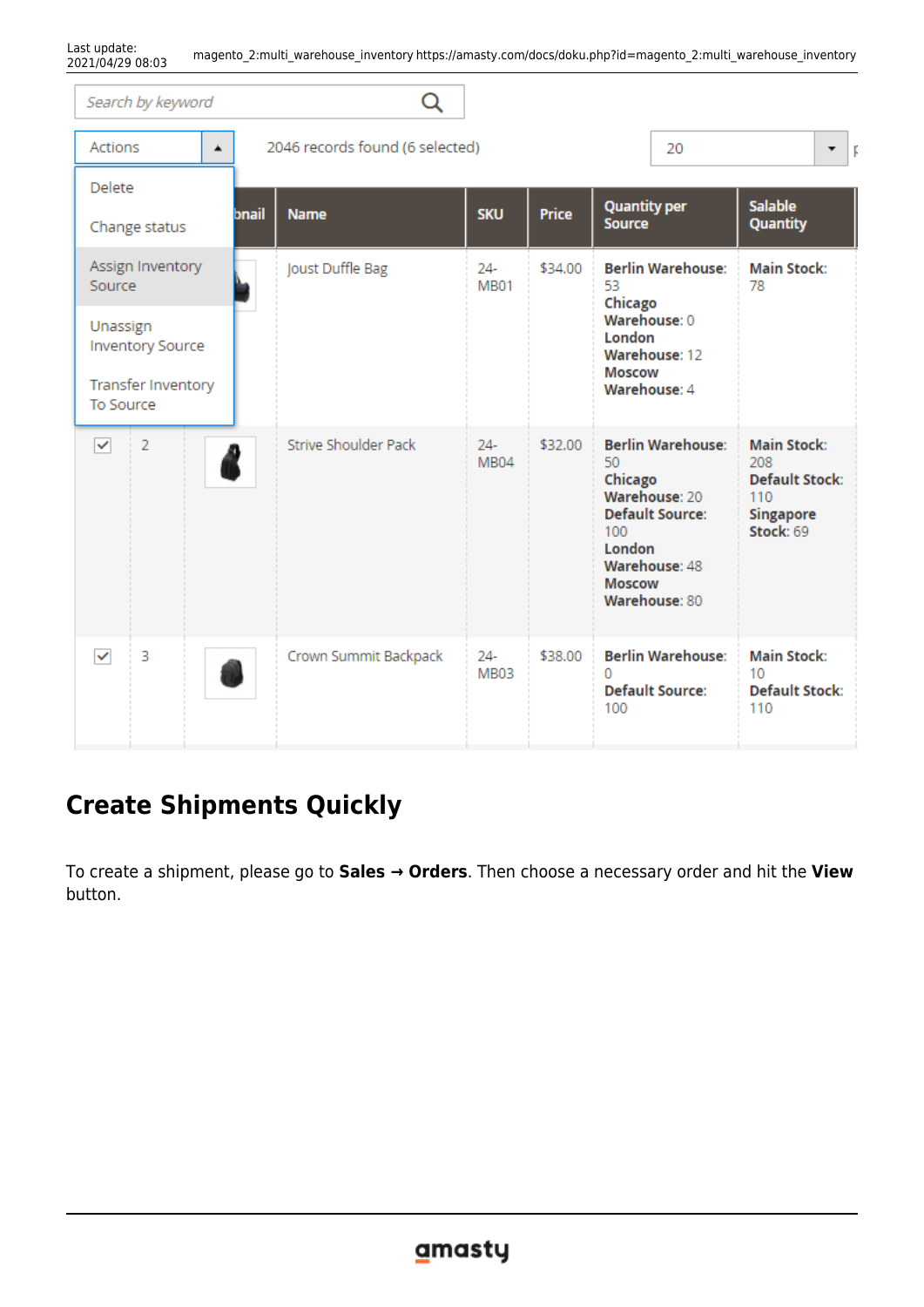| Search by keyword                                                                                                  |                                 |                                  |                                                                                                                                                          |                                                                                     |
|--------------------------------------------------------------------------------------------------------------------|---------------------------------|----------------------------------|----------------------------------------------------------------------------------------------------------------------------------------------------------|-------------------------------------------------------------------------------------|
| <b>Actions</b><br>▲                                                                                                | 2046 records found (6 selected) |                                  | 20                                                                                                                                                       | ľ<br>▼                                                                              |
| Delete<br>Change status                                                                                            | bnail<br><b>Name</b>            | Price<br><b>SKU</b>              | <b>Quantity per</b><br><b>Source</b>                                                                                                                     | <b>Salable</b><br>Quantity                                                          |
| Assign Inventory<br>Source<br>Unassign<br><b>Inventory Source</b><br><b>Transfer Inventory</b><br><b>To Source</b> | Joust Duffle Bag                | $24-$<br>\$34.00<br><b>MB01</b>  | <b>Berlin Warehouse:</b><br>53<br>Chicago<br>Warehouse: 0<br>London<br>Warehouse: 12<br><b>Moscow</b><br><b>Warehouse: 4</b>                             | <b>Main Stock:</b><br>78                                                            |
| $\checkmark$<br>2                                                                                                  | Strive Shoulder Pack            | $24 -$<br>\$32.00<br><b>MB04</b> | <b>Berlin Warehouse:</b><br>50<br>Chicago<br>Warehouse: 20<br><b>Default Source:</b><br>100<br>London<br>Warehouse: 48<br><b>Moscow</b><br>Warehouse: 80 | <b>Main Stock:</b><br>208<br><b>Default Stock:</b><br>110<br>Singapore<br>Stock: 69 |
| $\checkmark$<br>3                                                                                                  | Crown Summit Backpack           | \$38.00<br>$24-$<br>MB03         | <b>Berlin Warehouse:</b><br>0<br><b>Default Source:</b><br>100                                                                                           | <b>Main Stock:</b><br>10<br><b>Default Stock:</b><br>110                            |

# **Create Shipments Quickly**

To create a shipment, please go to **Sales → Orders**. Then choose a necessary order and hit the **View** button.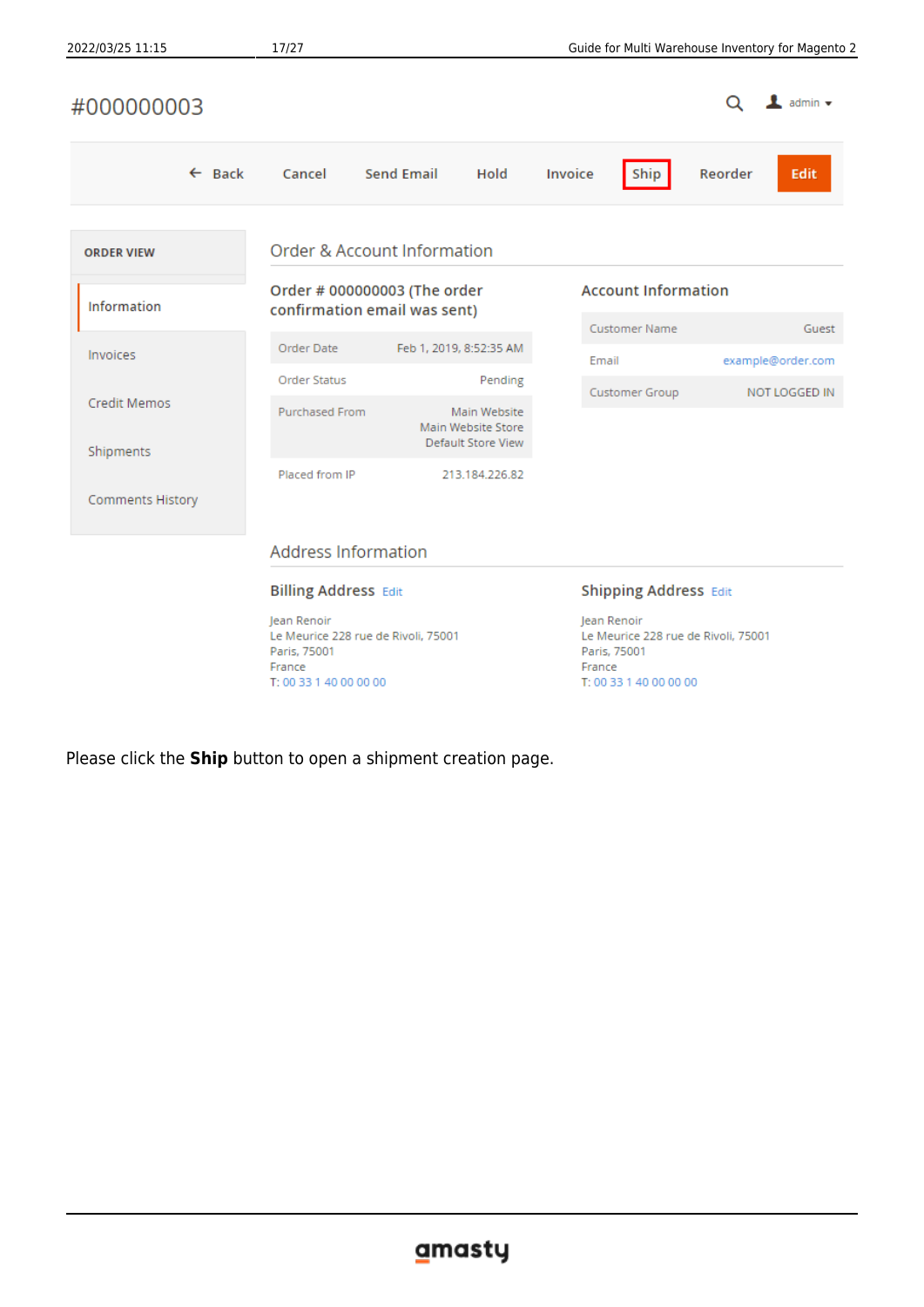| 2022/03/25 11:15                     | 17/27                                                                        |                                                                 |                                       | Guide for Multi Warehouse Inventory for Magento 2 |
|--------------------------------------|------------------------------------------------------------------------------|-----------------------------------------------------------------|---------------------------------------|---------------------------------------------------|
| #000000003                           |                                                                              |                                                                 |                                       | $\mathbf 1$ admin $\mathbf -$                     |
| $\leftarrow$ Back                    | Cancel                                                                       | <b>Send Email</b><br>Hold                                       | Invoice<br>Ship                       | Edit<br>Reorder                                   |
| <b>ORDER VIEW</b>                    | <b>Order &amp; Account Information</b>                                       |                                                                 |                                       |                                                   |
| Information                          |                                                                              | Order # 000000003 (The order<br>confirmation email was sent)    |                                       | <b>Account Information</b>                        |
| Invoices                             | Order Date                                                                   | Feb 1, 2019, 8:52:35 AM                                         | <b>Customer Name</b>                  | Guest                                             |
|                                      | <b>Order Status</b>                                                          | Pending                                                         | Email                                 | example@order.com                                 |
| <b>Credit Memos</b>                  | <b>Purchased From</b>                                                        | Main Website<br>Main Website Store<br><b>Default Store View</b> | <b>Customer Group</b>                 | <b>NOT LOGGED IN</b>                              |
| Shipments<br><b>Comments History</b> | Placed from IP                                                               | 213.184.226.82                                                  |                                       |                                                   |
|                                      | <b>Address Information</b>                                                   |                                                                 |                                       |                                                   |
|                                      | <b>Billing Address Edit</b>                                                  |                                                                 | <b>Shipping Address Edit</b>          |                                                   |
|                                      | Jean Renoir<br>Le Meurice 228 rue de Rivoli, 75001<br>Paris, 75001<br>France |                                                                 | Jean Renoir<br>Paris, 75001<br>France | Le Meurice 228 rue de Rivoli, 75001               |

T: 00 33 1 40 00 00 00

Please click the **Ship** button to open a shipment creation page.

T: 00 33 1 40 00 00 00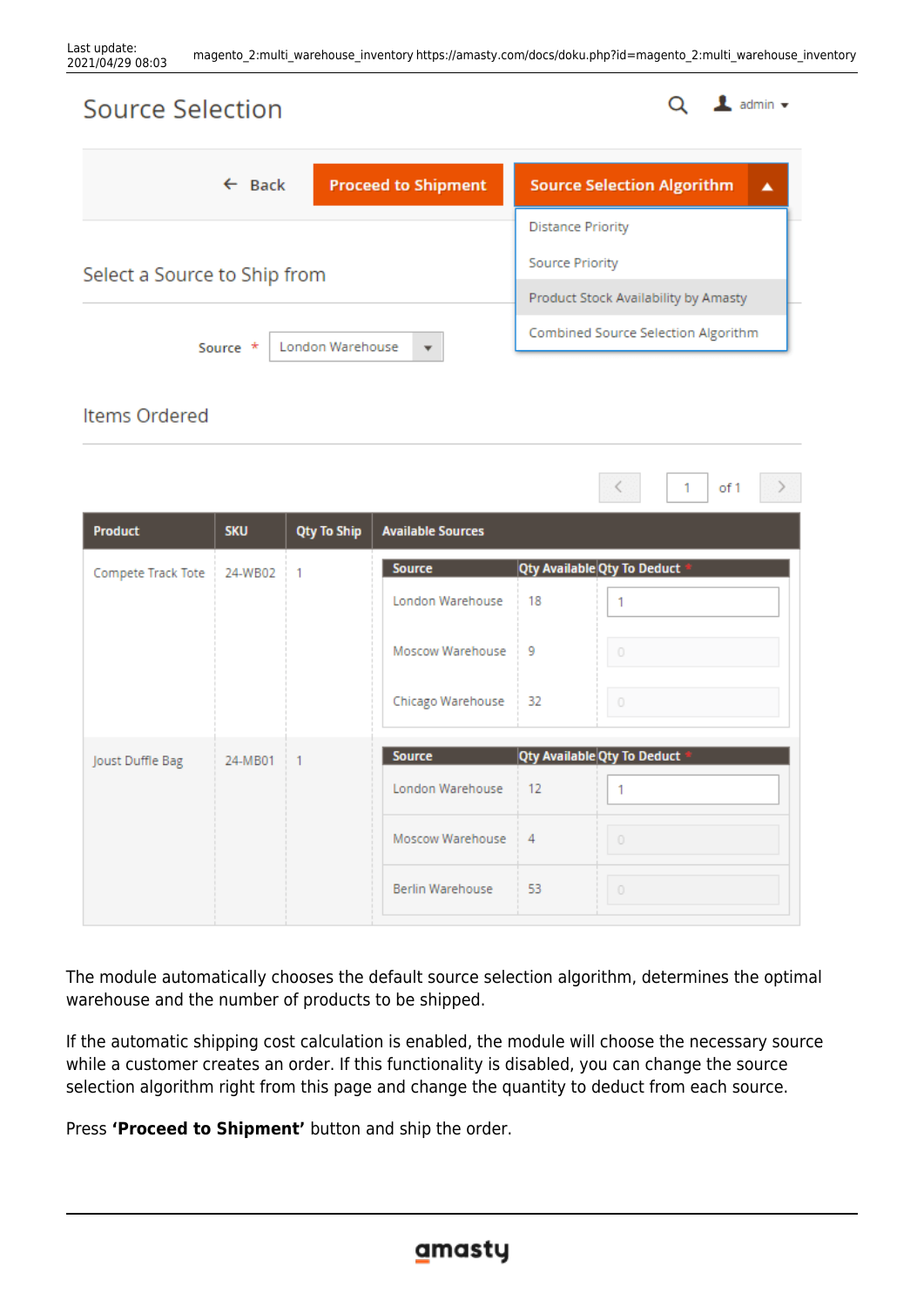$\triangle$  admin  $\star$ 

 $\alpha$ 

# **Source Selection**

| $\leftarrow$ Back            |  | <b>Proceed to Shipment</b>           | <b>Source Selection Algorithm</b>   |
|------------------------------|--|--------------------------------------|-------------------------------------|
|                              |  |                                      | <b>Distance Priority</b>            |
| Select a Source to Ship from |  | Source Priority                      |                                     |
|                              |  | Product Stock Availability by Amasty |                                     |
|                              |  |                                      | Combined Source Selection Algorithm |

### **Items Ordered**

|                    |            |                    |                          |                                    |                                  | of 1 |  |
|--------------------|------------|--------------------|--------------------------|------------------------------------|----------------------------------|------|--|
| <b>Product</b>     | <b>SKU</b> | <b>Qty To Ship</b> | <b>Available Sources</b> |                                    |                                  |      |  |
| Compete Track Tote | 24-WB02    | 1                  | <b>Source</b>            | <b>Qty Available Qty To Deduct</b> |                                  |      |  |
|                    |            |                    | London Warehouse         | 18                                 | 1                                |      |  |
|                    |            |                    | Moscow Warehouse         | 9                                  | $\mathbb O$                      |      |  |
|                    |            |                    | Chicago Warehouse        | 32                                 | $\circ$                          |      |  |
| Joust Duffle Bag   | 24-MB01    | $\overline{1}$     | <b>Source</b>            | <b>Qty Available Qty To Deduct</b> |                                  |      |  |
|                    |            |                    | London Warehouse         | 12                                 | 1                                |      |  |
|                    |            |                    | Moscow Warehouse         | $\overline{4}$                     | $\begin{array}{c} 0 \end{array}$ |      |  |
|                    |            |                    | <b>Berlin Warehouse</b>  | 53                                 | $\begin{array}{c} 0 \end{array}$ |      |  |

The module automatically chooses the default source selection algorithm, determines the optimal warehouse and the number of products to be shipped.

If the automatic shipping cost calculation is enabled, the module will choose the necessary source while a customer creates an order. If this functionality is disabled, you can change the source selection algorithm right from this page and change the quantity to deduct from each source.

Press **'Proceed to Shipment'** button and ship the order.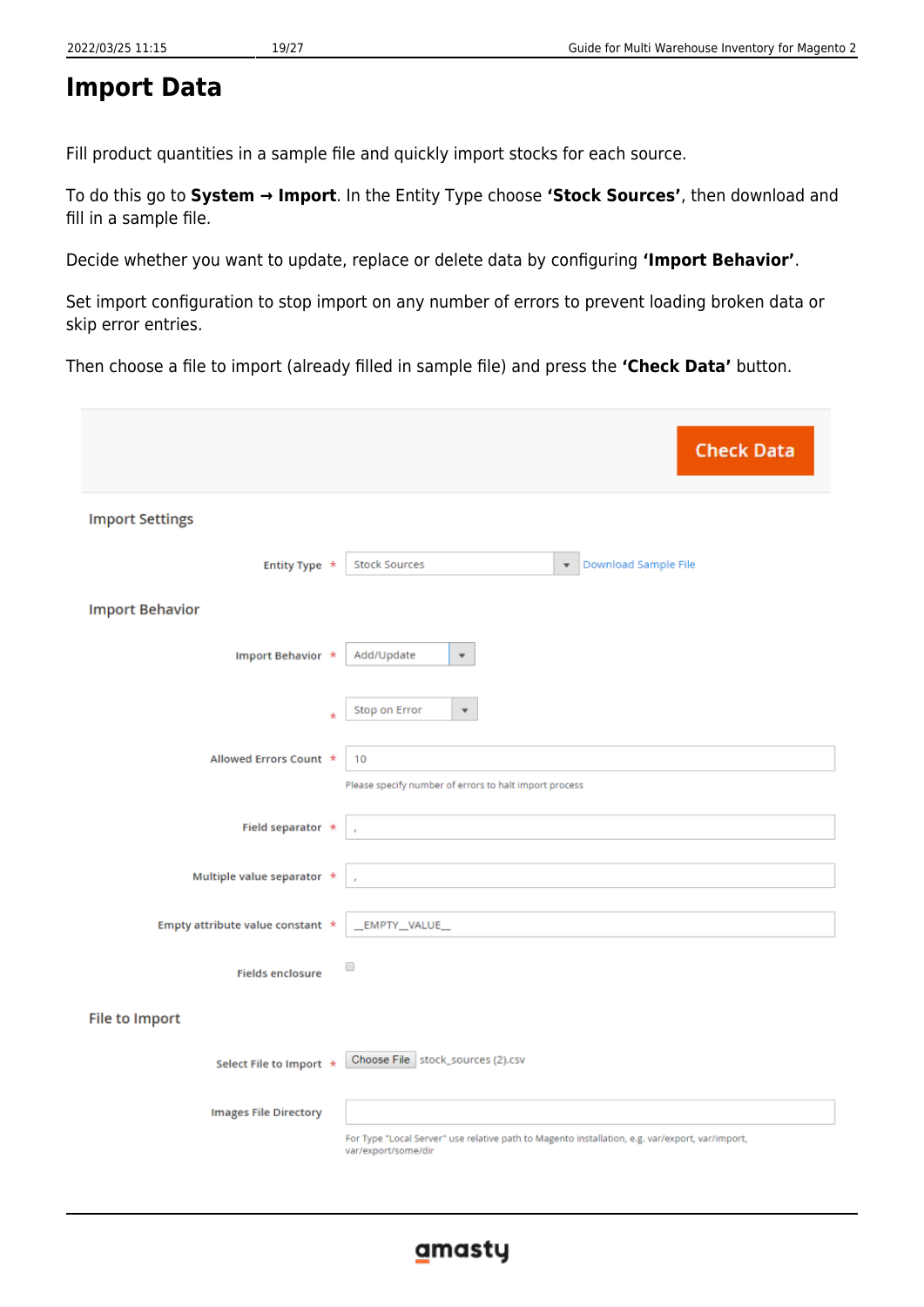# **Import Data**

Fill product quantities in a sample file and quickly import stocks for each source.

To do this go to **System → Import**. In the Entity Type choose **'Stock Sources'**, then download and fill in a sample file.

Decide whether you want to update, replace or delete data by configuring **'Import Behavior'**.

Set import configuration to stop import on any number of errors to prevent loading broken data or skip error entries.

Then choose a file to import (already filled in sample file) and press the **'Check Data'** button.

|                                  | <b>Check Data</b>                                                                                                      |
|----------------------------------|------------------------------------------------------------------------------------------------------------------------|
| <b>Import Settings</b>           |                                                                                                                        |
| Entity Type *                    | Download Sample File<br><b>Stock Sources</b><br>$\overline{\mathbf{v}}$                                                |
| <b>Import Behavior</b>           |                                                                                                                        |
| Import Behavior *                | Add/Update<br>$\overline{\mathbf{v}}$                                                                                  |
| 4                                | Stop on Error<br>$\overline{\phantom{a}}$                                                                              |
| Allowed Errors Count *           | 10                                                                                                                     |
|                                  | Please specify number of errors to halt import process                                                                 |
| Field separator $*$              |                                                                                                                        |
| Multiple value separator *       |                                                                                                                        |
| Empty attribute value constant * | _EMPTY_VALUE_                                                                                                          |
| <b>Fields enclosure</b>          | 0                                                                                                                      |
| <b>File to Import</b>            |                                                                                                                        |
| Select File to Import *          | Choose File   stock_sources (2).csv                                                                                    |
| <b>Images File Directory</b>     |                                                                                                                        |
|                                  | For Type "Local Server" use relative path to Magento installation, e.g. var/export, var/import,<br>var/export/some/dir |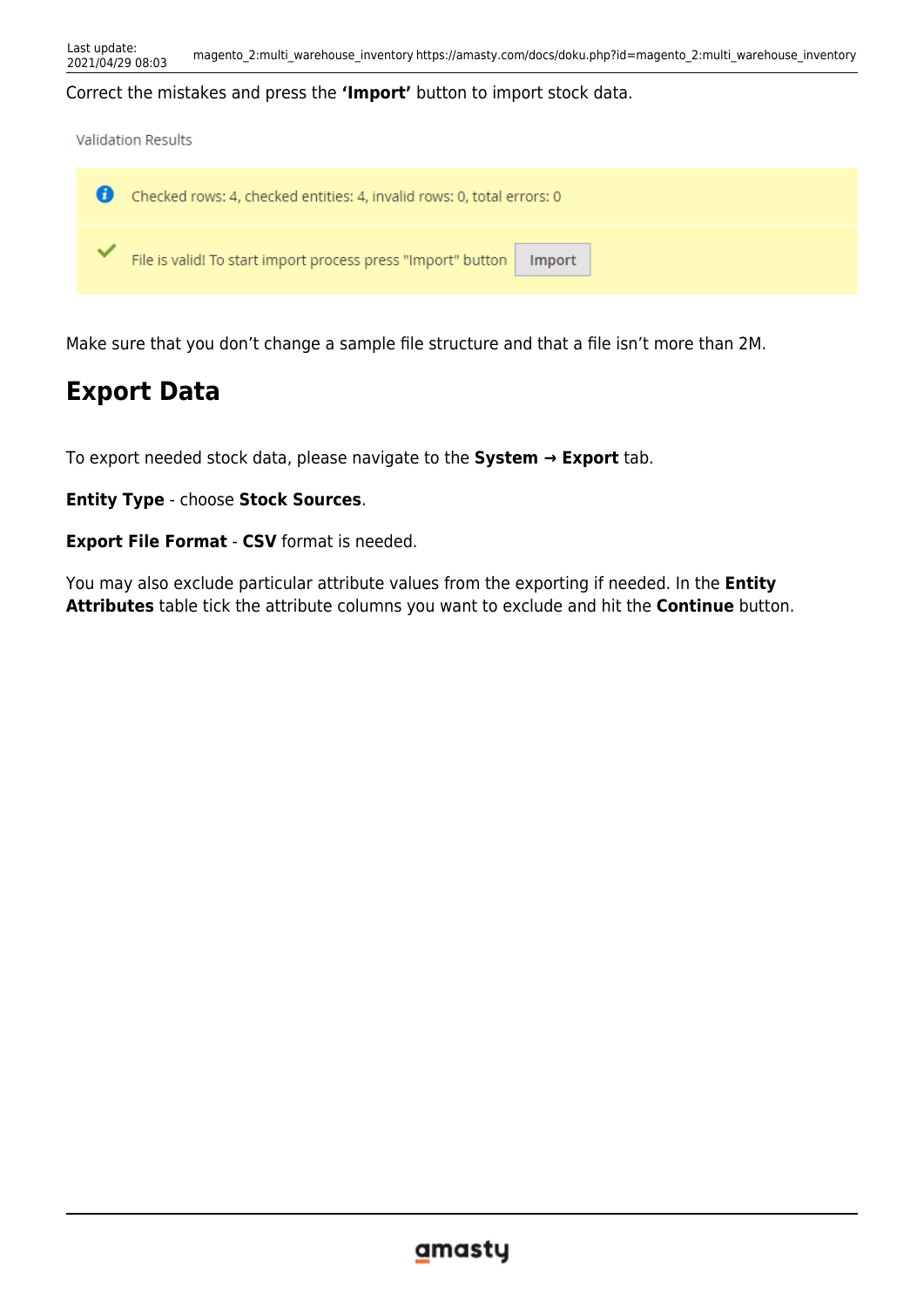### Correct the mistakes and press the **'Import'** button to import stock data.

**Validation Results** 



Make sure that you don't change a sample file structure and that a file isn't more than 2M.

# **Export Data**

To export needed stock data, please navigate to the **System → Export** tab.

**Entity Type** - choose **Stock Sources**.

**Export File Format** - **CSV** format is needed.

You may also exclude particular attribute values from the exporting if needed. In the **Entity Attributes** table tick the attribute columns you want to exclude and hit the **Continue** button.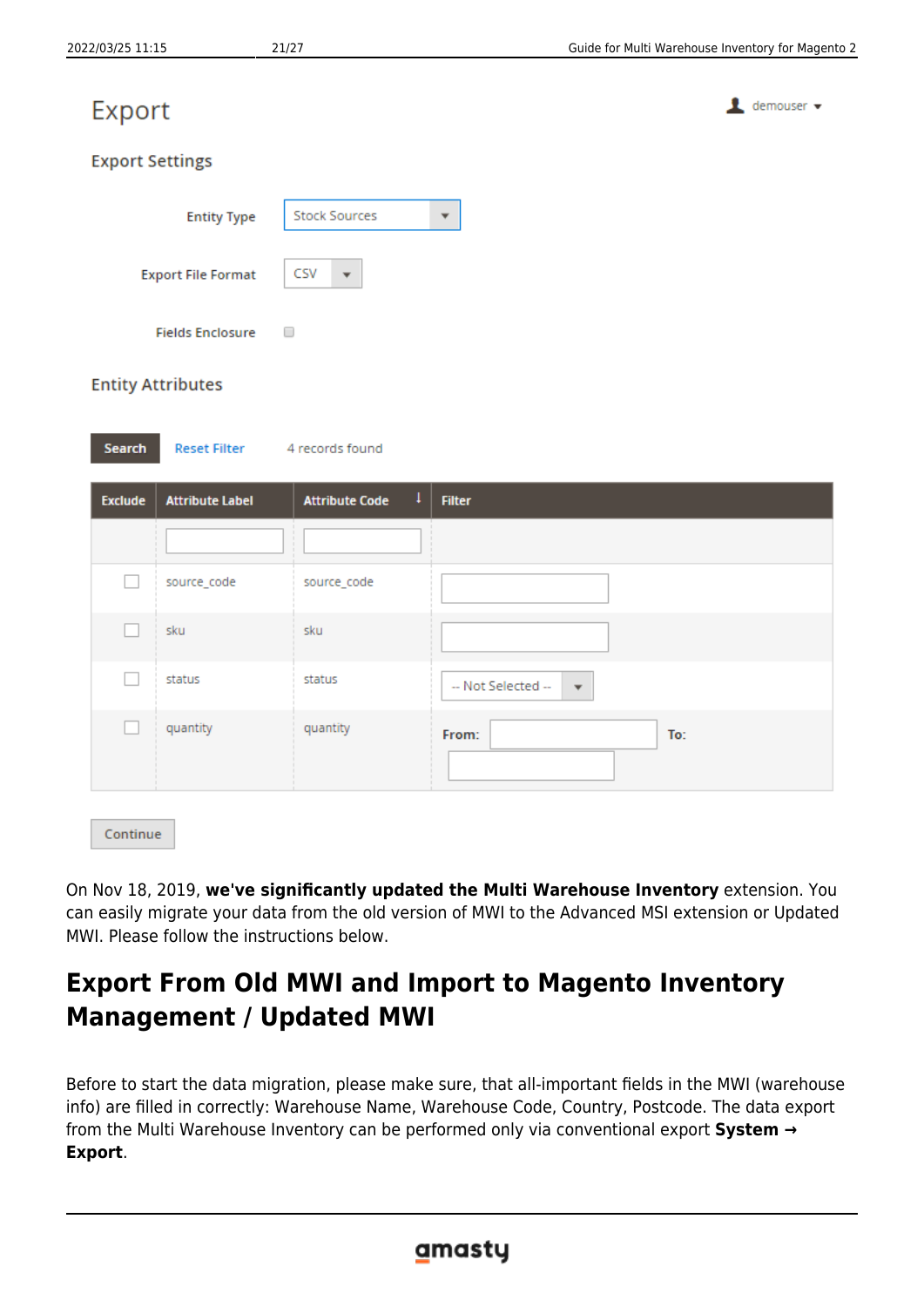| Export                   |                              |                       | $\mathbf 1$ demouser $\mathbf -$              |
|--------------------------|------------------------------|-----------------------|-----------------------------------------------|
| <b>Export Settings</b>   |                              |                       |                                               |
|                          | <b>Entity Type</b>           | <b>Stock Sources</b>  | $\blacktriangledown$                          |
|                          | <b>Export File Format</b>    | CSV<br>$\mathbf{v}$   |                                               |
|                          | <b>Fields Enclosure</b>      | O                     |                                               |
|                          | <b>Entity Attributes</b>     |                       |                                               |
| Search                   | Reset Filter 4 records found |                       |                                               |
| <b>Exclude</b>           | <b>Attribute Label</b>       | <b>Attribute Code</b> | <b>Filter</b>                                 |
|                          |                              |                       |                                               |
| $\overline{\phantom{a}}$ | source_code                  | source_code           |                                               |
| n                        | sku                          | sku                   |                                               |
|                          | status                       | status                | -- Not Selected --<br>$\overline{\mathbf{v}}$ |
| П                        | quantity                     | quantity              | From:<br>To:                                  |
|                          |                              |                       |                                               |

On Nov 18, 2019, **we've significantly updated the Multi Warehouse Inventory** extension. You can easily migrate your data from the old version of MWI to the Advanced MSI extension or Updated MWI. Please follow the instructions below.

# **Export From Old MWI and Import to Magento Inventory Management / Updated MWI**

Before to start the data migration, please make sure, that all-important fields in the MWI (warehouse info) are filled in correctly: Warehouse Name, Warehouse Code, Country, Postcode. The data export from the Multi Warehouse Inventory can be performed only via conventional export **System → Export**.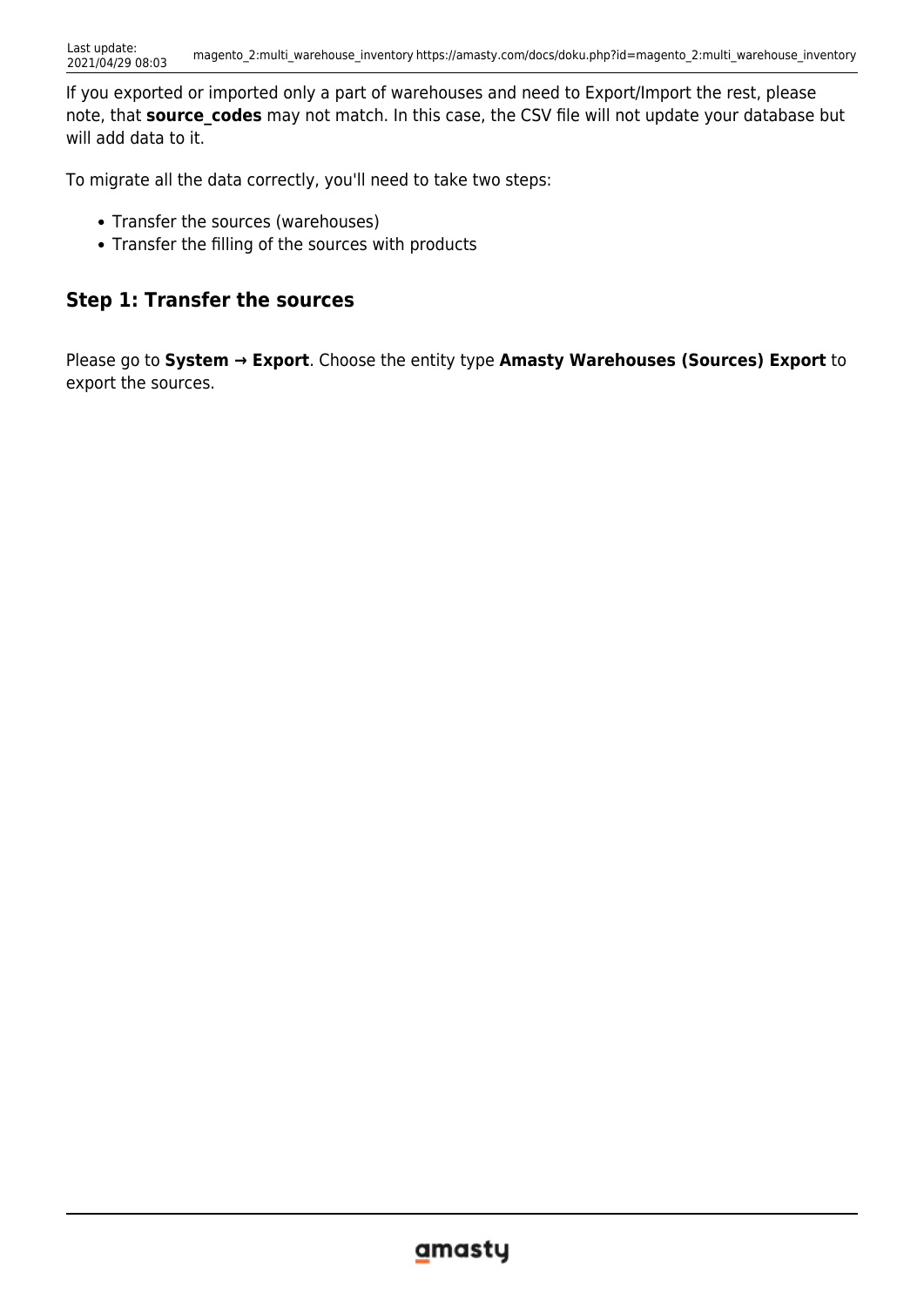If you exported or imported only a part of warehouses and need to Export/Import the rest, please note, that **source codes** may not match. In this case, the CSV file will not update your database but will add data to it.

To migrate all the data correctly, you'll need to take two steps:

- Transfer the sources (warehouses)
- Transfer the filling of the sources with products

### **Step 1: Transfer the sources**

Please go to **System → Export**. Choose the entity type **Amasty Warehouses (Sources) Export** to export the sources.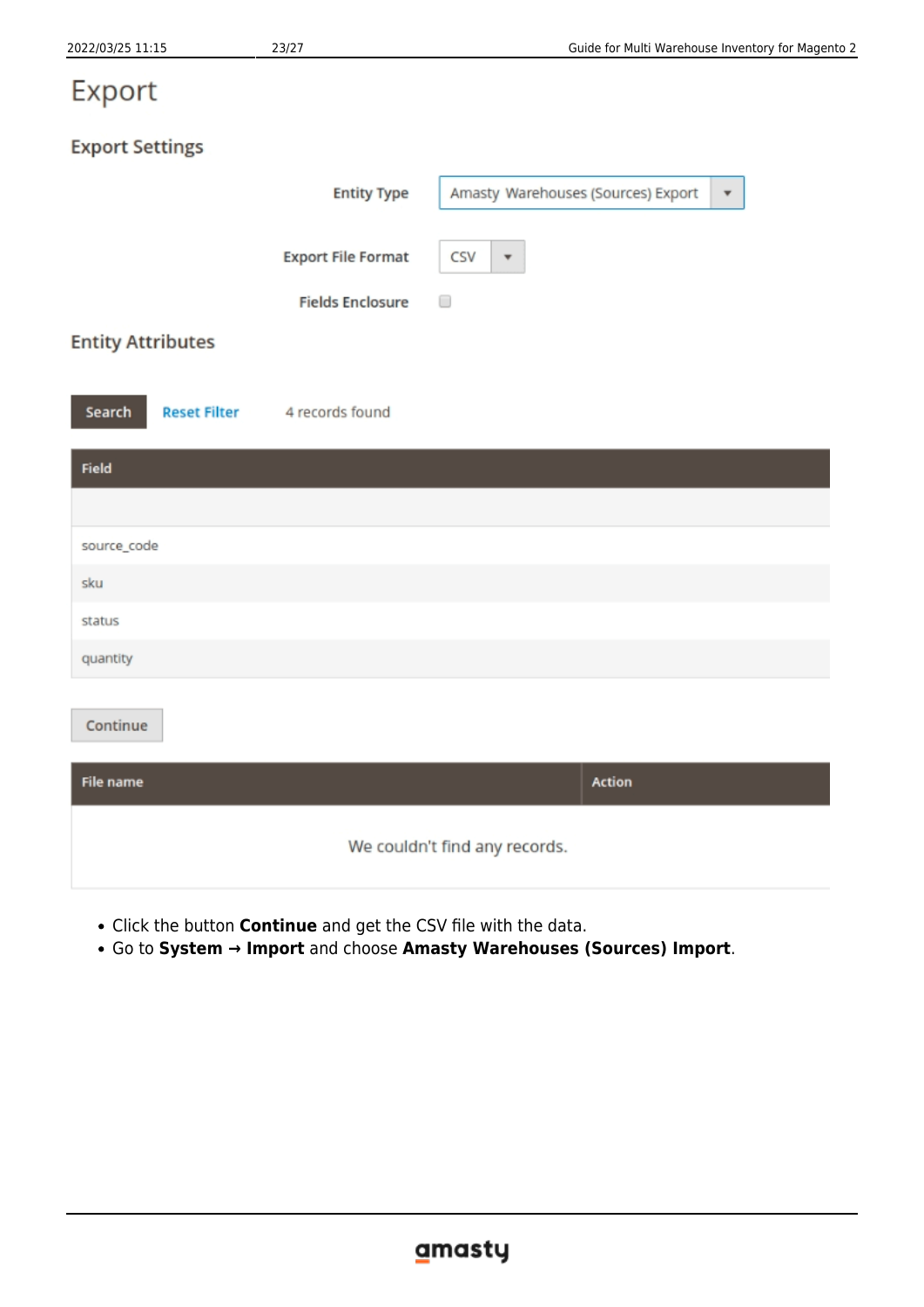| 2022/03/25 11:15         | 23/27                        | Guide for Multi Warehouse Inventory for Magento 2               |
|--------------------------|------------------------------|-----------------------------------------------------------------|
| Export                   |                              |                                                                 |
| <b>Export Settings</b>   |                              |                                                                 |
|                          | <b>Entity Type</b>           | Amasty Warehouses (Sources) Export<br>$\boldsymbol{\mathrm{v}}$ |
|                          | <b>Export File Format</b>    | CSV<br>$\overline{\mathbf v}$                                   |
|                          | <b>Fields Enclosure</b>      | □                                                               |
| <b>Entity Attributes</b> |                              |                                                                 |
| Search                   | Reset Filter 4 records found |                                                                 |
| <b>Field</b>             |                              |                                                                 |
|                          |                              |                                                                 |
| source_code              |                              |                                                                 |
| sku                      |                              |                                                                 |
| status                   |                              |                                                                 |
| quantity                 |                              |                                                                 |
| Continue                 |                              |                                                                 |
| File name                |                              | <b>Action</b>                                                   |
|                          |                              | We couldn't find any records.                                   |

- Click the button **Continue** and get the CSV file with the data.
- Go to **System → Import** and choose **Amasty Warehouses (Sources) Import**.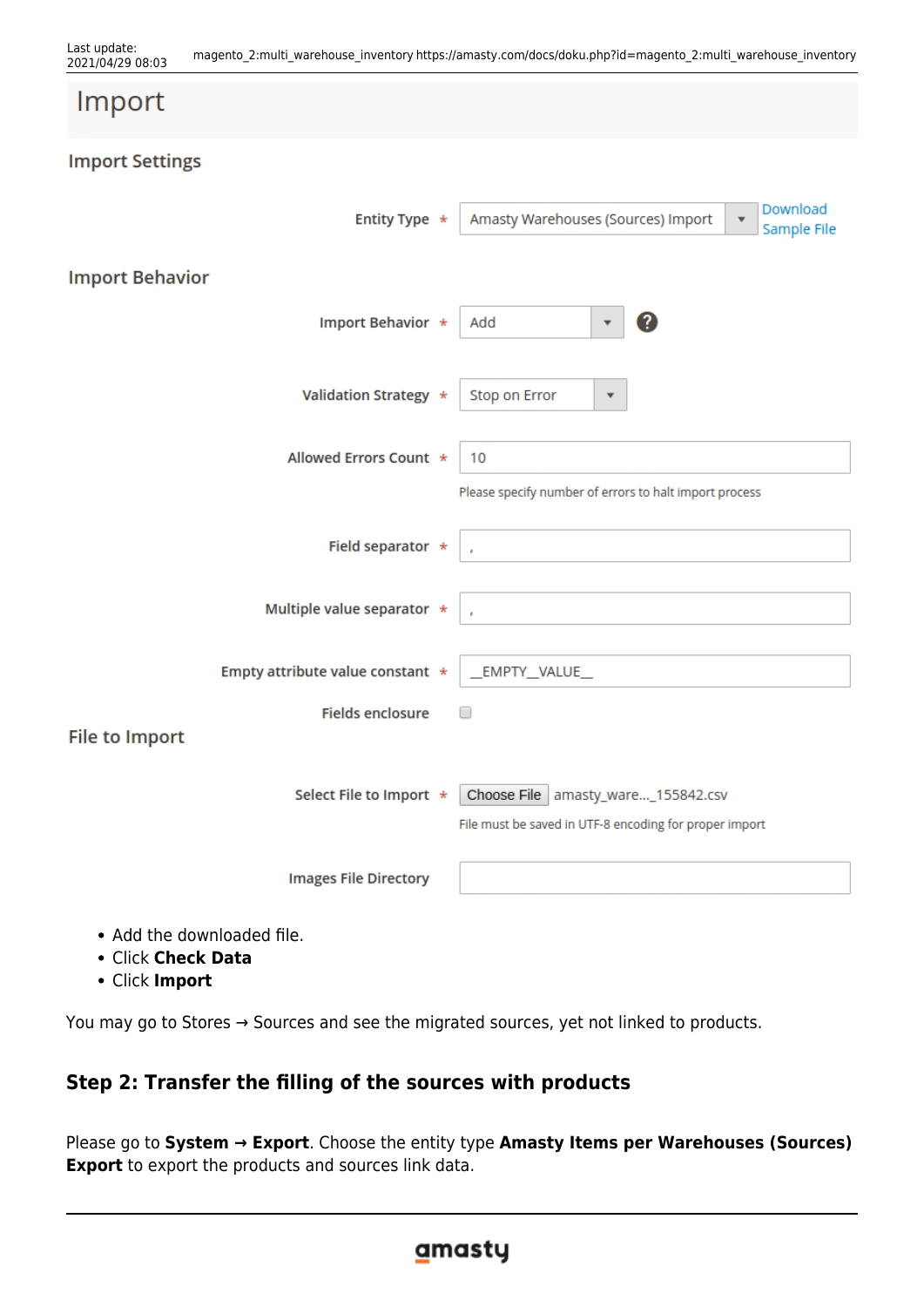|  | <b>Import Behavior</b> |  |
|--|------------------------|--|
|--|------------------------|--|

| <b>Import Behavior</b>  |                                  |                                                        |
|-------------------------|----------------------------------|--------------------------------------------------------|
|                         | Import Behavior *                | ?<br>Add                                               |
|                         |                                  |                                                        |
|                         | Validation Strategy *            | Stop on Error<br>▼                                     |
|                         | Allowed Errors Count *           | 10                                                     |
|                         |                                  | Please specify number of errors to halt import process |
|                         | Field separator $*$              |                                                        |
|                         | Multiple value separator *       |                                                        |
|                         |                                  |                                                        |
|                         | Empty attribute value constant * | _EMPTY_VALUE_                                          |
| <b>File to Import</b>   | Fields enclosure                 | □                                                      |
|                         |                                  |                                                        |
|                         | Select File to Import *          | Choose File   amasty_ware_155842.csv                   |
|                         |                                  | File must be saved in UTF-8 encoding for proper import |
|                         | <b>Images File Directory</b>     |                                                        |
| Add tha dawnlaadad fila |                                  |                                                        |

- Add the downloaded file.
- Click **Check Data**
- Click **Import**

You may go to Stores → Sources and see the migrated sources, yet not linked to products.

# **Step 2: Transfer the filling of the sources with products**

Please go to **System → Export**. Choose the entity type **Amasty Items per Warehouses (Sources) Export** to export the products and sources link data.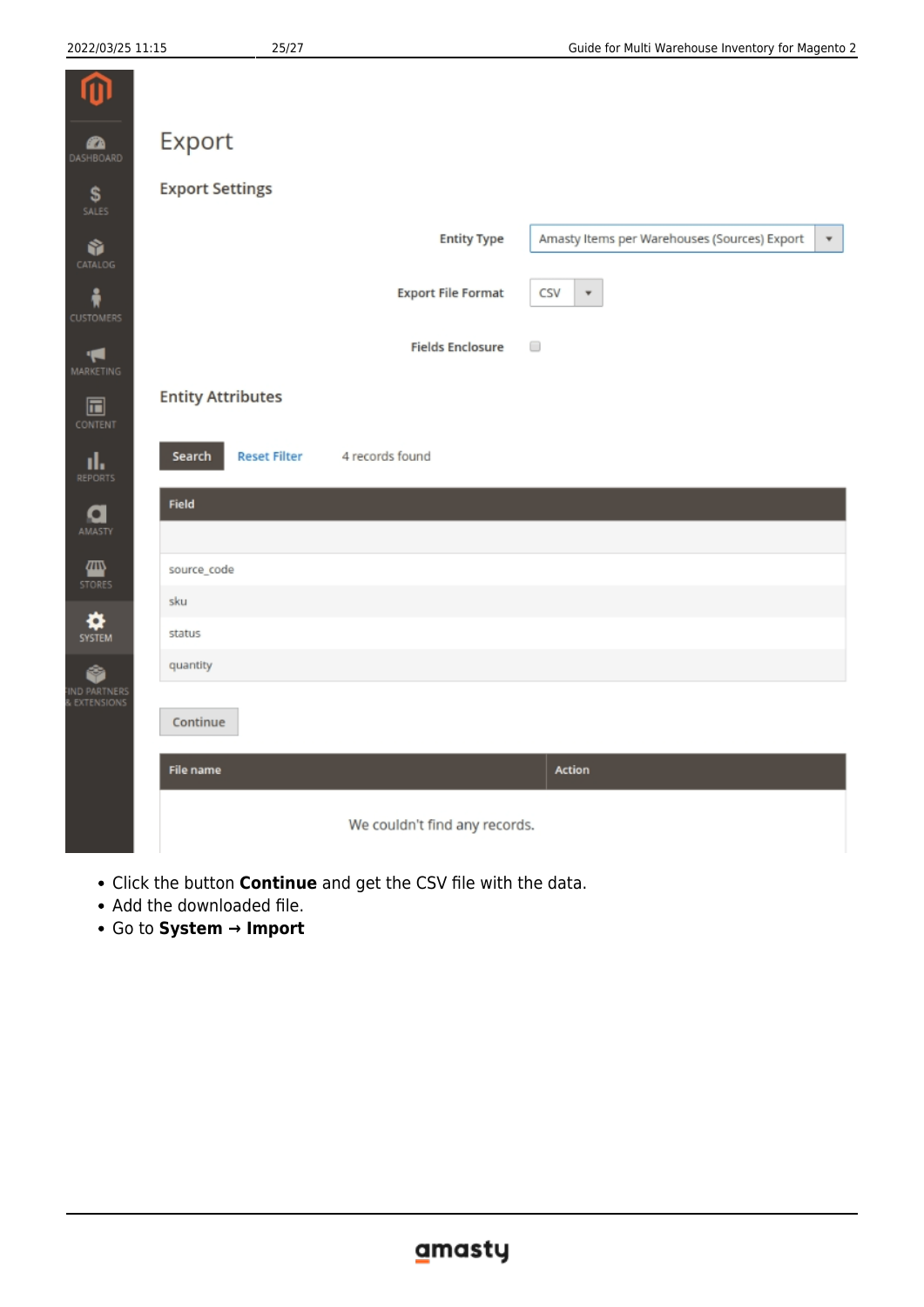| ⋒                                           |                               |                               |                                                                         |
|---------------------------------------------|-------------------------------|-------------------------------|-------------------------------------------------------------------------|
| $\bullet$<br>SHBOARD                        | Export                        |                               |                                                                         |
| \$<br>SALES                                 | <b>Export Settings</b>        |                               |                                                                         |
| ŵ<br><b>DOJATA</b>                          |                               | <b>Entity Type</b>            | Amasty Items per Warehouses (Sources) Export<br>$\overline{\mathbf{v}}$ |
| Å<br><b>JSTOMERS</b>                        |                               | <b>Export File Format</b>     | <b>CSV</b><br>$\overline{\mathbf{v}}$                                   |
| ۰Ń<br>ARKETING                              |                               | <b>Fields Enclosure</b>       | 0                                                                       |
| $\Box$<br>ONTENT                            | <b>Entity Attributes</b>      |                               |                                                                         |
| ıl.<br>REPORTS                              | <b>Reset Filter</b><br>Search | 4 records found               |                                                                         |
| O<br>AMASTY                                 | <b>Field</b>                  |                               |                                                                         |
| ▥<br><b>STORES</b>                          | source_code                   |                               |                                                                         |
|                                             | sku                           |                               |                                                                         |
| $\mathbf{\ddot{\mathbf{\Omega}}}$<br>System | status                        |                               |                                                                         |
| Ô                                           | quantity                      |                               |                                                                         |
| D PARTNERS<br>XTENSIONS                     | Continue                      |                               |                                                                         |
|                                             | <b>File name</b>              |                               | <b>Action</b>                                                           |
|                                             |                               | We couldn't find any records. |                                                                         |

- Click the button **Continue** and get the CSV file with the data.
- Add the downloaded file.
- Go to **System → Import**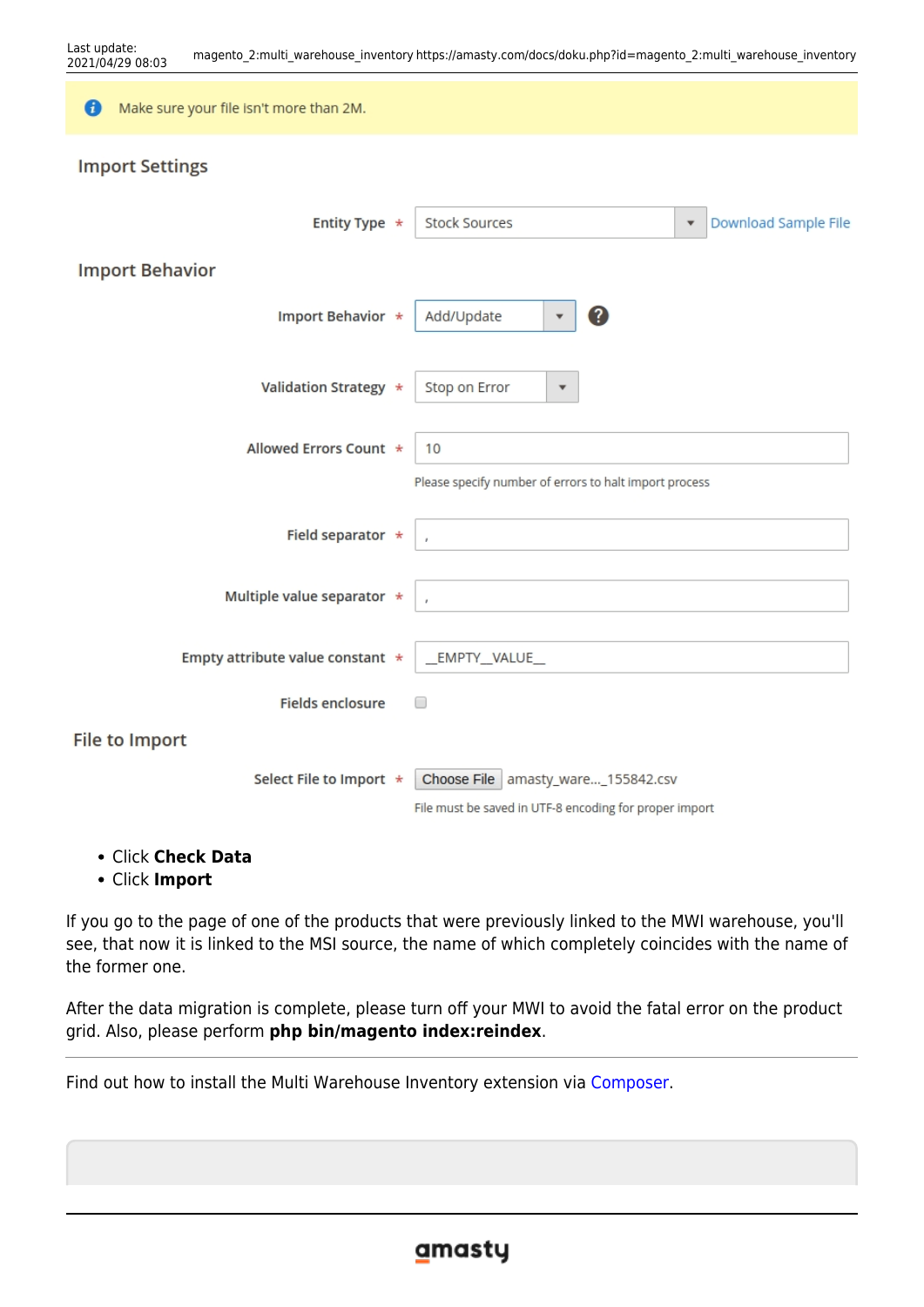| Make sure your file isn't more than 2M.<br>Œ |                                                                                                |
|----------------------------------------------|------------------------------------------------------------------------------------------------|
| <b>Import Settings</b>                       |                                                                                                |
| Entity Type *                                | Download Sample File<br><b>Stock Sources</b><br>$\overline{\mathbf v}$                         |
| <b>Import Behavior</b>                       |                                                                                                |
| Import Behavior *                            | ?<br>Add/Update<br>$\overline{\phantom{a}}$                                                    |
| Validation Strategy *                        | Stop on Error                                                                                  |
| Allowed Errors Count *                       | 10                                                                                             |
|                                              | Please specify number of errors to halt import process                                         |
| Field separator *                            |                                                                                                |
| Multiple value separator *                   |                                                                                                |
| Empty attribute value constant *             | _EMPTY_VALUE_                                                                                  |
| <b>Fields enclosure</b>                      |                                                                                                |
| <b>File to Import</b>                        |                                                                                                |
| Select File to Import *                      | Choose File   amasty_ware_155842.csv<br>File must be saved in UTF-8 encoding for proper import |

- Click **Check Data**
- Click **Import**

If you go to the page of one of the products that were previously linked to the MWI warehouse, you'll see, that now it is linked to the MSI source, the name of which completely coincides with the name of the former one.

After the data migration is complete, please turn off your MWI to avoid the fatal error on the product grid. Also, please perform **php bin/magento index:reindex**.

Find out how to install the Multi Warehouse Inventory extension via [Composer](https://amasty.com/docs/doku.php?id=magento_2:composer_user_guide).